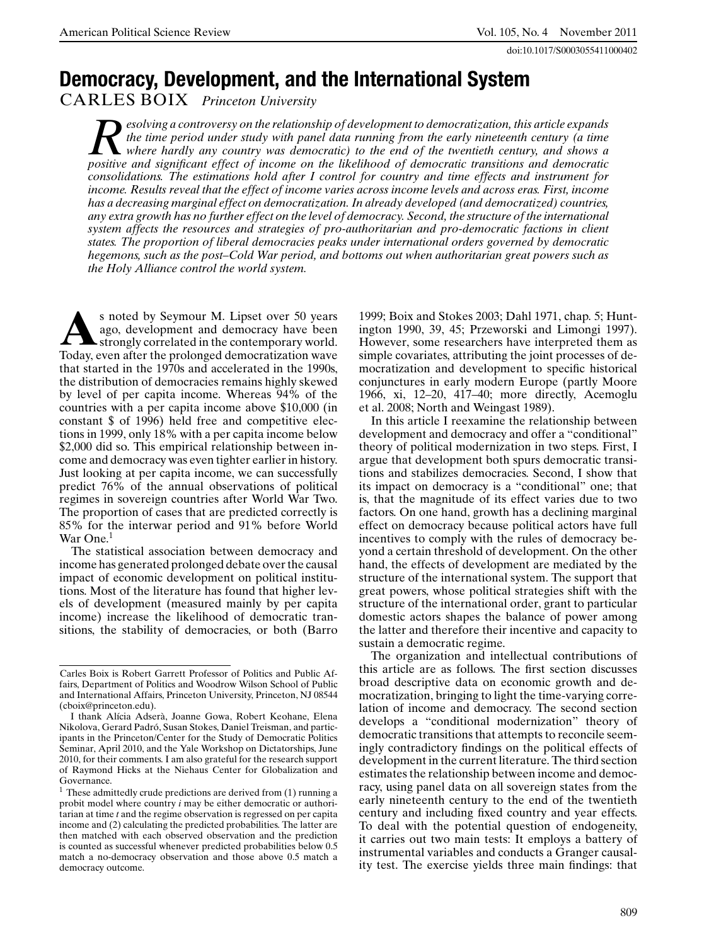doi:10.1017/S0003055411000402

# **Democracy, Development, and the International System**

CARLES BOIX *Princeton University*

*Resolving a controversy on the relationship of development to democratization, this article expands the time period under study with panel data running from the early nineteenth century (a time where hardly any country was democratic) to the end of the twentieth century, and shows a positive and significant effect of income on the likelihood of democratic transitions and democratic consolidations. The estimations hold after I control for country and time effects and instrument for income. Results reveal that the effect of income varies across income levels and across eras. First, income has a decreasing marginal effect on democratization. In already developed (and democratized) countries, any extra growth has no further effect on the level of democracy. Second, the structure of the international system affects the resources and strategies of pro-authoritarian and pro-democratic factions in client states. The proportion of liberal democracies peaks under international orders governed by democratic hegemons, such as the post–Cold War period, and bottoms out when authoritarian great powers such as the Holy Alliance control the world system.*

**A**s noted by Seymour M. Lipset over 50 years ago, development and democracy have been strongly correlated in the contemporary world. Today, even after the prolonged democratization wave that started in the 1970s and accelerated in the 1990s, the distribution of democracies remains highly skewed by level of per capita income. Whereas 94% of the countries with a per capita income above \$10,000 (in constant \$ of 1996) held free and competitive elections in 1999, only 18% with a per capita income below \$2,000 did so. This empirical relationship between income and democracy was even tighter earlier in history. Just looking at per capita income, we can successfully predict 76% of the annual observations of political regimes in sovereign countries after World War Two. The proportion of cases that are predicted correctly is 85% for the interwar period and 91% before World War One.<sup>1</sup>

The statistical association between democracy and income has generated prolonged debate over the causal impact of economic development on political institutions. Most of the literature has found that higher levels of development (measured mainly by per capita income) increase the likelihood of democratic transitions, the stability of democracies, or both (Barro 1999; Boix and Stokes 2003; Dahl 1971, chap. 5; Huntington 1990, 39, 45; Przeworski and Limongi 1997). However, some researchers have interpreted them as simple covariates, attributing the joint processes of democratization and development to specific historical conjunctures in early modern Europe (partly Moore 1966, xi, 12–20, 417–40; more directly, Acemoglu et al. 2008; North and Weingast 1989).

In this article I reexamine the relationship between development and democracy and offer a "conditional" theory of political modernization in two steps. First, I argue that development both spurs democratic transitions and stabilizes democracies. Second, I show that its impact on democracy is a "conditional" one; that is, that the magnitude of its effect varies due to two factors. On one hand, growth has a declining marginal effect on democracy because political actors have full incentives to comply with the rules of democracy beyond a certain threshold of development. On the other hand, the effects of development are mediated by the structure of the international system. The support that great powers, whose political strategies shift with the structure of the international order, grant to particular domestic actors shapes the balance of power among the latter and therefore their incentive and capacity to sustain a democratic regime.

The organization and intellectual contributions of this article are as follows. The first section discusses broad descriptive data on economic growth and democratization, bringing to light the time-varying correlation of income and democracy. The second section develops a "conditional modernization" theory of democratic transitions that attempts to reconcile seemingly contradictory findings on the political effects of development in the current literature. The third section estimates the relationship between income and democracy, using panel data on all sovereign states from the early nineteenth century to the end of the twentieth century and including fixed country and year effects. To deal with the potential question of endogeneity, it carries out two main tests: It employs a battery of instrumental variables and conducts a Granger causality test. The exercise yields three main findings: that

Carles Boix is Robert Garrett Professor of Politics and Public Affairs, Department of Politics and Woodrow Wilson School of Public and International Affairs, Princeton University, Princeton, NJ 08544 (cboix@princeton.edu).

I thank Alícia Adserà, Joanne Gowa, Robert Keohane, Elena Nikolova, Gerard Padró, Susan Stokes, Daniel Treisman, and participants in the Princeton/Center for the Study of Democratic Politics Seminar, April 2010, and the Yale Workshop on Dictatorships, June 2010, for their comments. I am also grateful for the research support of Raymond Hicks at the Niehaus Center for Globalization and Governance.

 $1$  These admittedly crude predictions are derived from  $(1)$  running a probit model where country *i* may be either democratic or authoritarian at time *t* and the regime observation is regressed on per capita income and (2) calculating the predicted probabilities. The latter are then matched with each observed observation and the prediction is counted as successful whenever predicted probabilities below 0.5 match a no-democracy observation and those above 0.5 match a democracy outcome.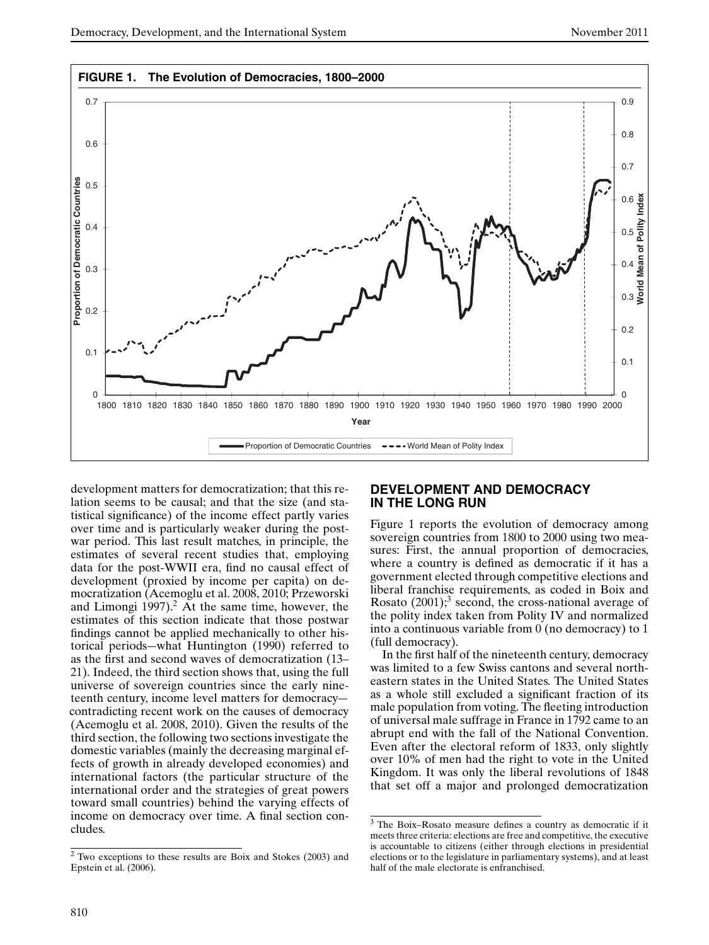

development matters for democratization; that this relation seems to be causal; and that the size (and statistical significance) of the income effect partly varies over time and is particularly weaker during the postwar period. This last result matches, in principle, the estimates of several recent studies that, employing data for the post-WWII era, find no causal effect of development (proxied by income per capita) on democratization (Acemoglu et al. 2008, 2010; Przeworski and Limongi  $1997$ ).<sup>2</sup> At the same time, however, the estimates of this section indicate that those postwar findings cannot be applied mechanically to other historical periods—what Huntington (1990) referred to as the first and second waves of democratization (13– 21). Indeed, the third section shows that, using the full universe of sovereign countries since the early nineteenth century, income level matters for democracy contradicting recent work on the causes of democracy (Acemoglu et al. 2008, 2010). Given the results of the third section, the following two sections investigate the domestic variables (mainly the decreasing marginal effects of growth in already developed economies) and international factors (the particular structure of the international order and the strategies of great powers toward small countries) behind the varying effects of income on democracy over time. A final section concludes.

## **DEVELOPMENT AND DEMOCRACY IN THE LONG RUN**

Figure 1 reports the evolution of democracy among sovereign countries from 1800 to 2000 using two measures: First, the annual proportion of democracies, where a country is defined as democratic if it has a government elected through competitive elections and liberal franchise requirements, as coded in Boix and Rosato  $(2001)$ ;<sup>3</sup> second, the cross-national average of the polity index taken from Polity IV and normalized into a continuous variable from 0 (no democracy) to 1 (full democracy).

In the first half of the nineteenth century, democracy was limited to a few Swiss cantons and several northeastern states in the United States. The United States as a whole still excluded a significant fraction of its male population from voting. The fleeting introduction of universal male suffrage in France in 1792 came to an abrupt end with the fall of the National Convention. Even after the electoral reform of 1833, only slightly over 10% of men had the right to vote in the United Kingdom. It was only the liberal revolutions of 1848 that set off a major and prolonged democratization

<sup>2</sup> Two exceptions to these results are Boix and Stokes (2003) and Epstein et al. (2006).

<sup>3</sup> The Boix–Rosato measure defines a country as democratic if it meets three criteria: elections are free and competitive, the executive is accountable to citizens (either through elections in presidential elections or to the legislature in parliamentary systems), and at least half of the male electorate is enfranchised.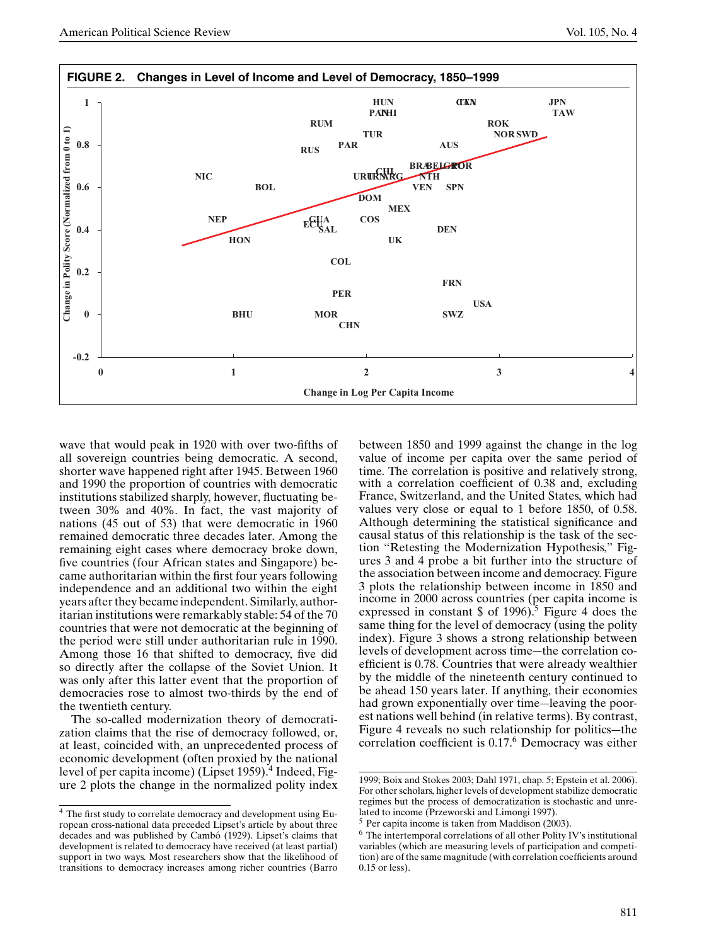

wave that would peak in 1920 with over two-fifths of all sovereign countries being democratic. A second, shorter wave happened right after 1945. Between 1960 and 1990 the proportion of countries with democratic institutions stabilized sharply, however, fluctuating between 30% and 40%. In fact, the vast majority of nations (45 out of 53) that were democratic in 1960 remained democratic three decades later. Among the remaining eight cases where democracy broke down, five countries (four African states and Singapore) became authoritarian within the first four years following independence and an additional two within the eight years after they became independent. Similarly, authoritarian institutions were remarkably stable: 54 of the 70 countries that were not democratic at the beginning of the period were still under authoritarian rule in 1990. Among those 16 that shifted to democracy, five did so directly after the collapse of the Soviet Union. It was only after this latter event that the proportion of democracies rose to almost two-thirds by the end of the twentieth century.

The so-called modernization theory of democratization claims that the rise of democracy followed, or, at least, coincided with, an unprecedented process of economic development (often proxied by the national level of per capita income) (Lipset 1959).<sup>4</sup> Indeed, Figure 2 plots the change in the normalized polity index

between 1850 and 1999 against the change in the log value of income per capita over the same period of time. The correlation is positive and relatively strong, with a correlation coefficient of 0.38 and, excluding France, Switzerland, and the United States, which had values very close or equal to 1 before 1850, of 0.58. Although determining the statistical significance and causal status of this relationship is the task of the section "Retesting the Modernization Hypothesis," Figures 3 and 4 probe a bit further into the structure of the association between income and democracy. Figure 3 plots the relationship between income in 1850 and income in 2000 across countries (per capita income is expressed in constant  $\frac{1996}{5}$  Figure 4 does the same thing for the level of democracy (using the polity index). Figure 3 shows a strong relationship between levels of development across time—the correlation coefficient is 0.78. Countries that were already wealthier by the middle of the nineteenth century continued to be ahead 150 years later. If anything, their economies had grown exponentially over time—leaving the poorest nations well behind (in relative terms). By contrast, Figure 4 reveals no such relationship for politics—the correlation coefficient is 0.17.<sup>6</sup> Democracy was either

<sup>4</sup> The first study to correlate democracy and development using European cross-national data preceded Lipset's article by about three decades and was published by Cambó (1929). Lipset's claims that development is related to democracy have received (at least partial) support in two ways. Most researchers show that the likelihood of transitions to democracy increases among richer countries (Barro

<sup>1999;</sup> Boix and Stokes 2003; Dahl 1971, chap. 5; Epstein et al. 2006). For other scholars, higher levels of development stabilize democratic regimes but the process of democratization is stochastic and unrelated to income (Przeworski and Limongi 1997).

<sup>5</sup> Per capita income is taken from Maddison (2003).

 $6$  The intertemporal correlations of all other Polity IV's institutional variables (which are measuring levels of participation and competition) are of the same magnitude (with correlation coefficients around 0.15 or less).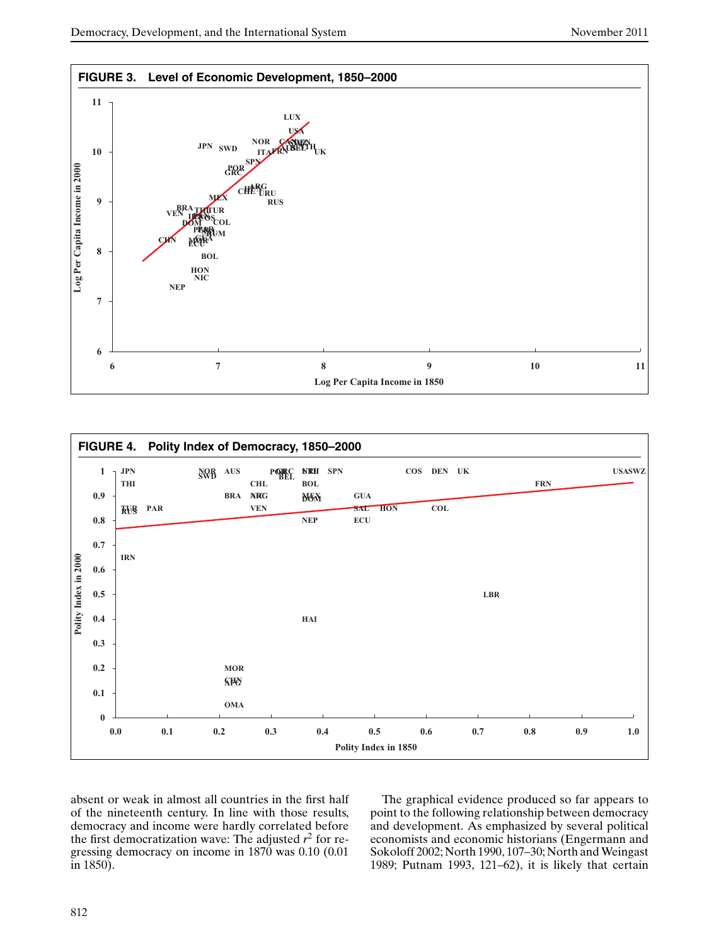



absent or weak in almost all countries in the first half of the nineteenth century. In line with those results, democracy and income were hardly correlated before the first democratization wave: The adjusted  $r^2$  for regressing democracy on income in 1870 was 0.10 (0.01 in 1850).

The graphical evidence produced so far appears to point to the following relationship between democracy and development. As emphasized by several political economists and economic historians (Engermann and Sokoloff 2002; North 1990, 107–30; North and Weingast 1989; Putnam 1993, 121–62), it is likely that certain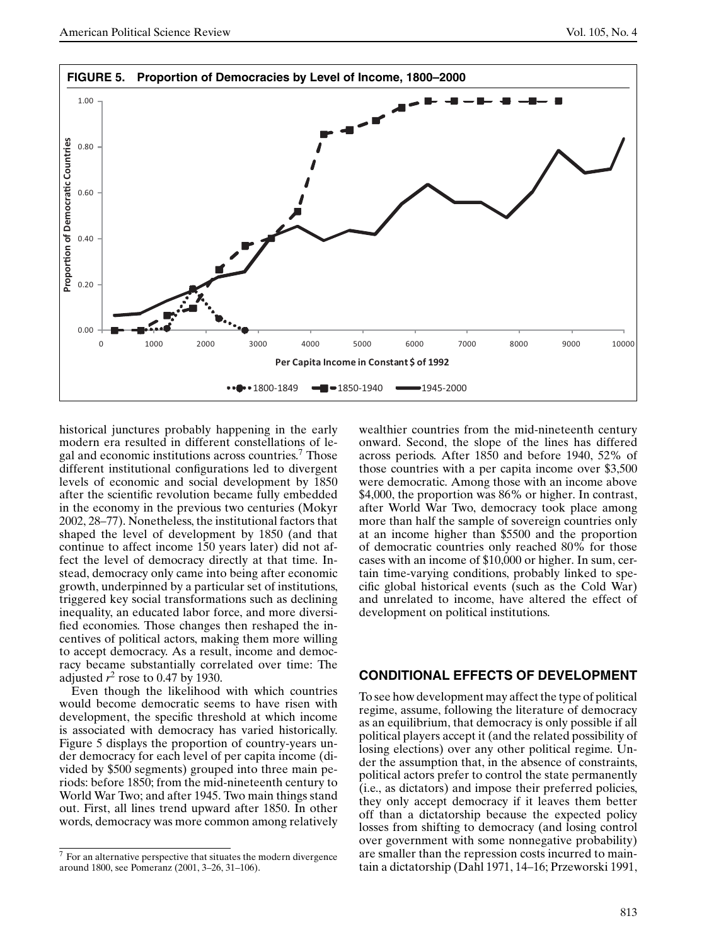

historical junctures probably happening in the early modern era resulted in different constellations of legal and economic institutions across countries.<sup>7</sup> Those different institutional configurations led to divergent levels of economic and social development by 1850 after the scientific revolution became fully embedded in the economy in the previous two centuries (Mokyr 2002, 28–77). Nonetheless, the institutional factors that shaped the level of development by 1850 (and that continue to affect income 150 years later) did not affect the level of democracy directly at that time. Instead, democracy only came into being after economic growth, underpinned by a particular set of institutions, triggered key social transformations such as declining inequality, an educated labor force, and more diversified economies. Those changes then reshaped the incentives of political actors, making them more willing to accept democracy. As a result, income and democracy became substantially correlated over time: The adjusted  $r^2$  rose to 0.47 by 1930.

Even though the likelihood with which countries would become democratic seems to have risen with development, the specific threshold at which income is associated with democracy has varied historically. Figure 5 displays the proportion of country-years under democracy for each level of per capita income (divided by \$500 segments) grouped into three main periods: before 1850; from the mid-nineteenth century to World War Two; and after 1945. Two main things stand out. First, all lines trend upward after 1850. In other words, democracy was more common among relatively wealthier countries from the mid-nineteenth century onward. Second, the slope of the lines has differed across periods. After 1850 and before 1940, 52% of those countries with a per capita income over \$3,500 were democratic. Among those with an income above \$4,000, the proportion was 86% or higher. In contrast, after World War Two, democracy took place among more than half the sample of sovereign countries only at an income higher than \$5500 and the proportion of democratic countries only reached 80% for those cases with an income of \$10,000 or higher. In sum, certain time-varying conditions, probably linked to specific global historical events (such as the Cold War) and unrelated to income, have altered the effect of development on political institutions.

## **CONDITIONAL EFFECTS OF DEVELOPMENT**

To see how development may affect the type of political regime, assume, following the literature of democracy as an equilibrium, that democracy is only possible if all political players accept it (and the related possibility of losing elections) over any other political regime. Under the assumption that, in the absence of constraints, political actors prefer to control the state permanently (i.e., as dictators) and impose their preferred policies, they only accept democracy if it leaves them better off than a dictatorship because the expected policy losses from shifting to democracy (and losing control over government with some nonnegative probability) are smaller than the repression costs incurred to maintain a dictatorship (Dahl 1971, 14–16; Przeworski 1991,

<sup>7</sup> For an alternative perspective that situates the modern divergence around 1800, see Pomeranz (2001, 3–26, 31–106).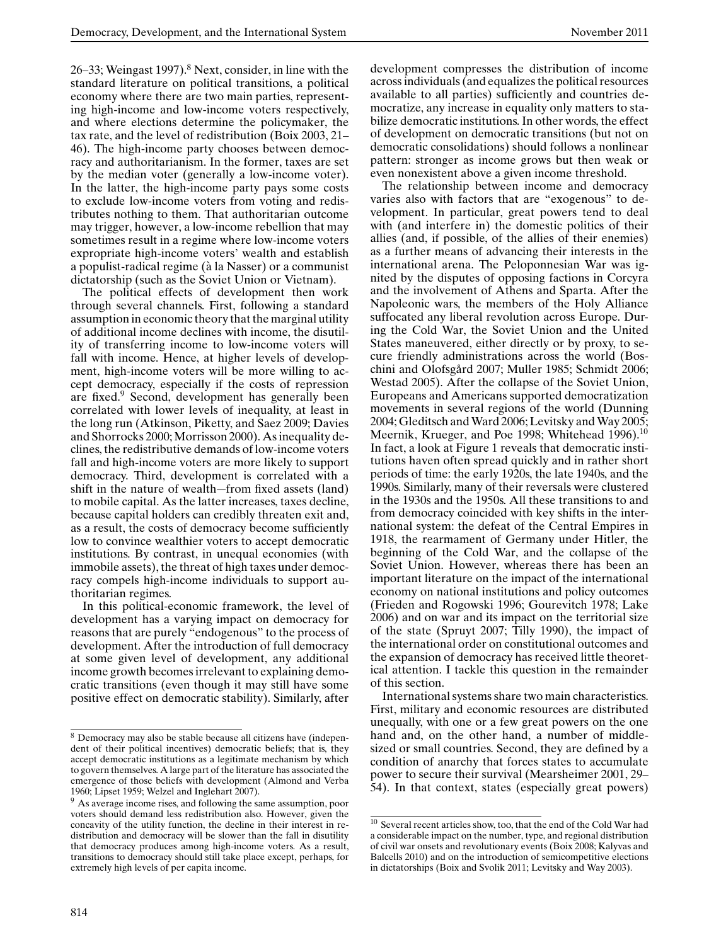26–33; Weingast 1997). $8$  Next, consider, in line with the standard literature on political transitions, a political economy where there are two main parties, representing high-income and low-income voters respectively, and where elections determine the policymaker, the tax rate, and the level of redistribution (Boix 2003, 21– 46). The high-income party chooses between democracy and authoritarianism. In the former, taxes are set by the median voter (generally a low-income voter). In the latter, the high-income party pays some costs to exclude low-income voters from voting and redistributes nothing to them. That authoritarian outcome may trigger, however, a low-income rebellion that may sometimes result in a regime where low-income voters expropriate high-income voters' wealth and establish a populist-radical regime (à la Nasser) or a communist dictatorship (such as the Soviet Union or Vietnam).

The political effects of development then work through several channels. First, following a standard assumption in economic theory that the marginal utility of additional income declines with income, the disutility of transferring income to low-income voters will fall with income. Hence, at higher levels of development, high-income voters will be more willing to accept democracy, especially if the costs of repression are fixed.<sup>9</sup> Second, development has generally been correlated with lower levels of inequality, at least in the long run (Atkinson, Piketty, and Saez 2009; Davies and Shorrocks 2000; Morrisson 2000). As inequality declines, the redistributive demands of low-income voters fall and high-income voters are more likely to support democracy. Third, development is correlated with a shift in the nature of wealth—from fixed assets (land) to mobile capital. As the latter increases, taxes decline, because capital holders can credibly threaten exit and, as a result, the costs of democracy become sufficiently low to convince wealthier voters to accept democratic institutions. By contrast, in unequal economies (with immobile assets), the threat of high taxes under democracy compels high-income individuals to support authoritarian regimes.

In this political-economic framework, the level of development has a varying impact on democracy for reasons that are purely "endogenous" to the process of development. After the introduction of full democracy at some given level of development, any additional income growth becomes irrelevant to explaining democratic transitions (even though it may still have some positive effect on democratic stability). Similarly, after development compresses the distribution of income across individuals (and equalizes the political resources available to all parties) sufficiently and countries democratize, any increase in equality only matters to stabilize democratic institutions. In other words, the effect of development on democratic transitions (but not on democratic consolidations) should follows a nonlinear pattern: stronger as income grows but then weak or even nonexistent above a given income threshold.

The relationship between income and democracy varies also with factors that are "exogenous" to development. In particular, great powers tend to deal with (and interfere in) the domestic politics of their allies (and, if possible, of the allies of their enemies) as a further means of advancing their interests in the international arena. The Peloponnesian War was ignited by the disputes of opposing factions in Corcyra and the involvement of Athens and Sparta. After the Napoleonic wars, the members of the Holy Alliance suffocated any liberal revolution across Europe. During the Cold War, the Soviet Union and the United States maneuvered, either directly or by proxy, to secure friendly administrations across the world (Boschini and Olofsgård 2007; Muller 1985; Schmidt 2006; Westad 2005). After the collapse of the Soviet Union, Europeans and Americans supported democratization movements in several regions of the world (Dunning 2004; Gleditsch and Ward 2006; Levitsky and Way 2005; Meernik, Krueger, and Poe 1998; Whitehead 1996).<sup>10</sup> In fact, a look at Figure 1 reveals that democratic institutions haven often spread quickly and in rather short periods of time: the early 1920s, the late 1940s, and the 1990s. Similarly, many of their reversals were clustered in the 1930s and the 1950s. All these transitions to and from democracy coincided with key shifts in the international system: the defeat of the Central Empires in 1918, the rearmament of Germany under Hitler, the beginning of the Cold War, and the collapse of the Soviet Union. However, whereas there has been an important literature on the impact of the international economy on national institutions and policy outcomes (Frieden and Rogowski 1996; Gourevitch 1978; Lake 2006) and on war and its impact on the territorial size of the state (Spruyt 2007; Tilly 1990), the impact of the international order on constitutional outcomes and the expansion of democracy has received little theoretical attention. I tackle this question in the remainder of this section.

International systems share two main characteristics. First, military and economic resources are distributed unequally, with one or a few great powers on the one hand and, on the other hand, a number of middlesized or small countries. Second, they are defined by a condition of anarchy that forces states to accumulate power to secure their survival (Mearsheimer 2001, 29– 54). In that context, states (especially great powers)

<sup>8</sup> Democracy may also be stable because all citizens have (independent of their political incentives) democratic beliefs; that is, they accept democratic institutions as a legitimate mechanism by which to govern themselves. A large part of the literature has associated the emergence of those beliefs with development (Almond and Verba 1960; Lipset 1959; Welzel and Inglehart 2007).

<sup>&</sup>lt;sup>9</sup> As average income rises, and following the same assumption, poor voters should demand less redistribution also. However, given the concavity of the utility function, the decline in their interest in redistribution and democracy will be slower than the fall in disutility that democracy produces among high-income voters. As a result, transitions to democracy should still take place except, perhaps, for extremely high levels of per capita income.

 $^{10}$  Several recent articles show, too, that the end of the Cold War had a considerable impact on the number, type, and regional distribution of civil war onsets and revolutionary events (Boix 2008; Kalyvas and Balcells 2010) and on the introduction of semicompetitive elections in dictatorships (Boix and Svolik 2011; Levitsky and Way 2003).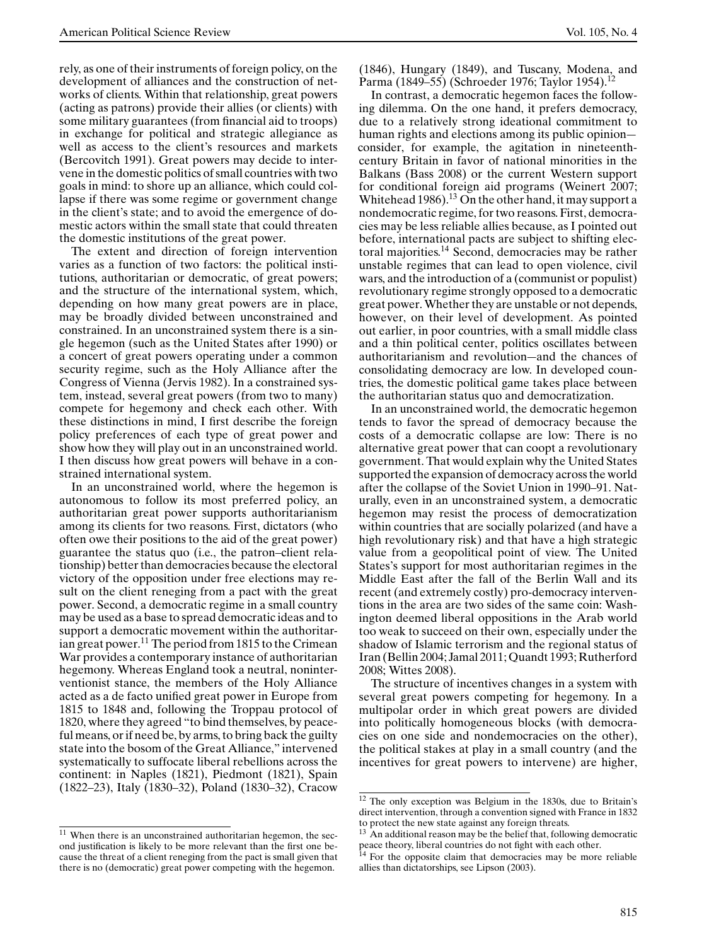rely, as one of their instruments of foreign policy, on the development of alliances and the construction of networks of clients. Within that relationship, great powers (acting as patrons) provide their allies (or clients) with some military guarantees (from financial aid to troops) in exchange for political and strategic allegiance as well as access to the client's resources and markets (Bercovitch 1991). Great powers may decide to intervene in the domestic politics of small countries with two goals in mind: to shore up an alliance, which could collapse if there was some regime or government change in the client's state; and to avoid the emergence of domestic actors within the small state that could threaten the domestic institutions of the great power.

The extent and direction of foreign intervention varies as a function of two factors: the political institutions, authoritarian or democratic, of great powers; and the structure of the international system, which, depending on how many great powers are in place, may be broadly divided between unconstrained and constrained. In an unconstrained system there is a single hegemon (such as the United States after 1990) or a concert of great powers operating under a common security regime, such as the Holy Alliance after the Congress of Vienna (Jervis 1982). In a constrained system, instead, several great powers (from two to many) compete for hegemony and check each other. With these distinctions in mind, I first describe the foreign policy preferences of each type of great power and show how they will play out in an unconstrained world. I then discuss how great powers will behave in a constrained international system.

In an unconstrained world, where the hegemon is autonomous to follow its most preferred policy, an authoritarian great power supports authoritarianism among its clients for two reasons. First, dictators (who often owe their positions to the aid of the great power) guarantee the status quo (i.e., the patron–client relationship) better than democracies because the electoral victory of the opposition under free elections may result on the client reneging from a pact with the great power. Second, a democratic regime in a small country may be used as a base to spread democratic ideas and to support a democratic movement within the authoritarian great power.<sup>11</sup> The period from 1815 to the Crimean War provides a contemporary instance of authoritarian hegemony. Whereas England took a neutral, noninterventionist stance, the members of the Holy Alliance acted as a de facto unified great power in Europe from 1815 to 1848 and, following the Troppau protocol of 1820, where they agreed "to bind themselves, by peaceful means, or if need be, by arms, to bring back the guilty state into the bosom of the Great Alliance," intervened systematically to suffocate liberal rebellions across the continent: in Naples (1821), Piedmont (1821), Spain (1822–23), Italy (1830–32), Poland (1830–32), Cracow

 $\frac{11}{11}$  When there is an unconstrained authoritarian hegemon, the second justification is likely to be more relevant than the first one because the threat of a client reneging from the pact is small given that there is no (democratic) great power competing with the hegemon.

(1846), Hungary (1849), and Tuscany, Modena, and Parma (1849–55) (Schroeder 1976; Taylor 1954).<sup>12</sup>

In contrast, a democratic hegemon faces the following dilemma. On the one hand, it prefers democracy, due to a relatively strong ideational commitment to human rights and elections among its public opinion consider, for example, the agitation in nineteenthcentury Britain in favor of national minorities in the Balkans (Bass 2008) or the current Western support for conditional foreign aid programs (Weinert 2007; Whitehead 1986).<sup>13</sup> On the other hand, it may support a nondemocratic regime, for two reasons. First, democracies may be less reliable allies because, as I pointed out before, international pacts are subject to shifting electoral majorities.<sup>14</sup> Second, democracies may be rather unstable regimes that can lead to open violence, civil wars, and the introduction of a (communist or populist) revolutionary regime strongly opposed to a democratic great power. Whether they are unstable or not depends, however, on their level of development. As pointed out earlier, in poor countries, with a small middle class and a thin political center, politics oscillates between authoritarianism and revolution—and the chances of consolidating democracy are low. In developed countries, the domestic political game takes place between the authoritarian status quo and democratization.

In an unconstrained world, the democratic hegemon tends to favor the spread of democracy because the costs of a democratic collapse are low: There is no alternative great power that can coopt a revolutionary government. That would explain why the United States supported the expansion of democracy across the world after the collapse of the Soviet Union in 1990–91. Naturally, even in an unconstrained system, a democratic hegemon may resist the process of democratization within countries that are socially polarized (and have a high revolutionary risk) and that have a high strategic value from a geopolitical point of view. The United States's support for most authoritarian regimes in the Middle East after the fall of the Berlin Wall and its recent (and extremely costly) pro-democracy interventions in the area are two sides of the same coin: Washington deemed liberal oppositions in the Arab world too weak to succeed on their own, especially under the shadow of Islamic terrorism and the regional status of Iran (Bellin 2004; Jamal 2011; Quandt 1993; Rutherford 2008; Wittes 2008).

The structure of incentives changes in a system with several great powers competing for hegemony. In a multipolar order in which great powers are divided into politically homogeneous blocks (with democracies on one side and nondemocracies on the other), the political stakes at play in a small country (and the incentives for great powers to intervene) are higher,

<sup>12</sup> The only exception was Belgium in the 1830s, due to Britain's direct intervention, through a convention signed with France in 1832 to protect the new state against any foreign threats.

An additional reason may be the belief that, following democratic peace theory, liberal countries do not fight with each other.

<sup>&</sup>lt;sup>14</sup> For the opposite claim that democracies may be more reliable allies than dictatorships, see Lipson (2003).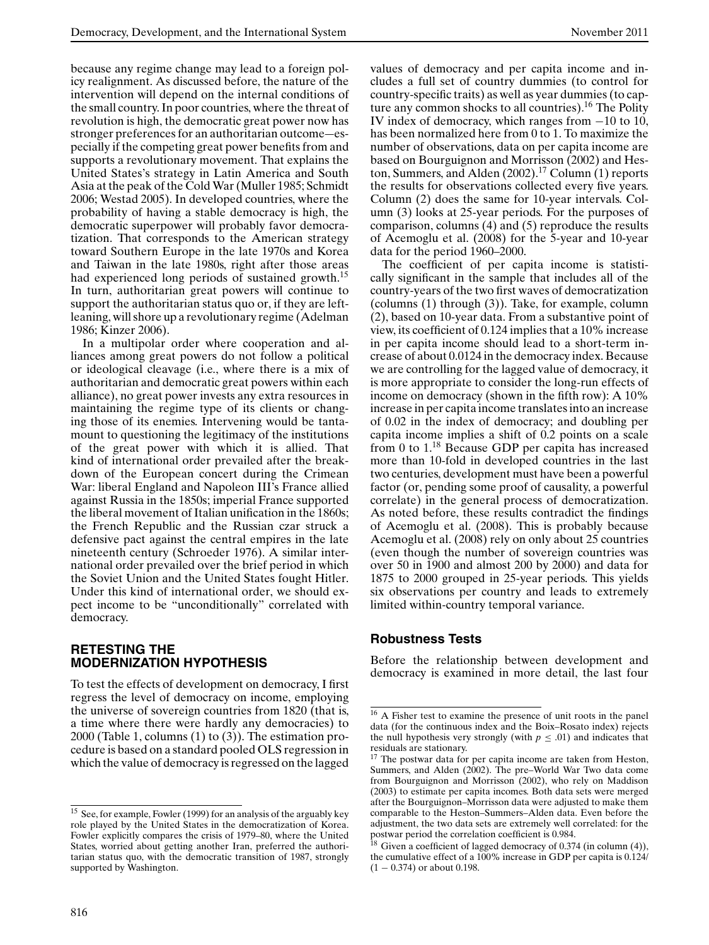because any regime change may lead to a foreign policy realignment. As discussed before, the nature of the intervention will depend on the internal conditions of the small country. In poor countries, where the threat of revolution is high, the democratic great power now has stronger preferences for an authoritarian outcome—especially if the competing great power benefits from and supports a revolutionary movement. That explains the United States's strategy in Latin America and South Asia at the peak of the Cold War (Muller 1985; Schmidt 2006; Westad 2005). In developed countries, where the probability of having a stable democracy is high, the democratic superpower will probably favor democratization. That corresponds to the American strategy toward Southern Europe in the late 1970s and Korea and Taiwan in the late 1980s, right after those areas had experienced long periods of sustained growth.<sup>15</sup> In turn, authoritarian great powers will continue to support the authoritarian status quo or, if they are leftleaning, will shore up a revolutionary regime (Adelman 1986; Kinzer 2006).

In a multipolar order where cooperation and alliances among great powers do not follow a political or ideological cleavage (i.e., where there is a mix of authoritarian and democratic great powers within each alliance), no great power invests any extra resources in maintaining the regime type of its clients or changing those of its enemies. Intervening would be tantamount to questioning the legitimacy of the institutions of the great power with which it is allied. That kind of international order prevailed after the breakdown of the European concert during the Crimean War: liberal England and Napoleon III's France allied against Russia in the 1850s; imperial France supported the liberal movement of Italian unification in the 1860s; the French Republic and the Russian czar struck a defensive pact against the central empires in the late nineteenth century (Schroeder 1976). A similar international order prevailed over the brief period in which the Soviet Union and the United States fought Hitler. Under this kind of international order, we should expect income to be "unconditionally" correlated with democracy.

## **RETESTING THE MODERNIZATION HYPOTHESIS**

To test the effects of development on democracy, I first regress the level of democracy on income, employing the universe of sovereign countries from 1820 (that is, a time where there were hardly any democracies) to 2000 (Table 1, columns (1) to (3)). The estimation procedure is based on a standard pooled OLS regression in which the value of democracy is regressed on the lagged values of democracy and per capita income and includes a full set of country dummies (to control for country-specific traits) as well as year dummies (to capture any common shocks to all countries).<sup>16</sup> The Polity IV index of democracy, which ranges from −10 to 10, has been normalized here from 0 to 1. To maximize the number of observations, data on per capita income are based on Bourguignon and Morrisson (2002) and Heston, Summers, and Alden  $(2002).<sup>17</sup>$  Column  $(1)$  reports the results for observations collected every five years. Column (2) does the same for 10-year intervals. Column (3) looks at 25-year periods. For the purposes of comparison, columns (4) and (5) reproduce the results of Acemoglu et al. (2008) for the 5-year and 10-year data for the period 1960–2000.

The coefficient of per capita income is statistically significant in the sample that includes all of the country-years of the two first waves of democratization (columns (1) through (3)). Take, for example, column (2), based on 10-year data. From a substantive point of view, its coefficient of 0.124 implies that a 10% increase in per capita income should lead to a short-term increase of about 0.0124 in the democracy index. Because we are controlling for the lagged value of democracy, it is more appropriate to consider the long-run effects of income on democracy (shown in the fifth row): A 10% increase in per capita income translates into an increase of 0.02 in the index of democracy; and doubling per capita income implies a shift of 0.2 points on a scale from 0 to 1.<sup>18</sup> Because GDP per capita has increased more than 10-fold in developed countries in the last two centuries, development must have been a powerful factor (or, pending some proof of causality, a powerful correlate) in the general process of democratization. As noted before, these results contradict the findings of Acemoglu et al. (2008). This is probably because Acemoglu et al. (2008) rely on only about 25 countries (even though the number of sovereign countries was over 50 in 1900 and almost 200 by 2000) and data for 1875 to 2000 grouped in 25-year periods. This yields six observations per country and leads to extremely limited within-country temporal variance.

## **Robustness Tests**

Before the relationship between development and democracy is examined in more detail, the last four

<sup>&</sup>lt;sup>15</sup> See, for example, Fowler (1999) for an analysis of the arguably key role played by the United States in the democratization of Korea. Fowler explicitly compares the crisis of 1979–80, where the United States, worried about getting another Iran, preferred the authoritarian status quo, with the democratic transition of 1987, strongly supported by Washington.

<sup>16</sup> A Fisher test to examine the presence of unit roots in the panel data (for the continuous index and the Boix–Rosato index) rejects the null hypothesis very strongly (with  $p \leq .01$ ) and indicates that residuals are stationary.

 $17$  The postwar data for per capita income are taken from Heston, Summers, and Alden (2002). The pre–World War Two data come from Bourguignon and Morrisson (2002), who rely on Maddison (2003) to estimate per capita incomes. Both data sets were merged after the Bourguignon–Morrisson data were adjusted to make them comparable to the Heston–Summers–Alden data. Even before the adjustment, the two data sets are extremely well correlated: for the postwar period the correlation coefficient is 0.984.

 $\overline{18}$  Given a coefficient of lagged democracy of 0.374 (in column (4)), the cumulative effect of a 100% increase in GDP per capita is 0.124/  $(1 - 0.374)$  or about 0.198.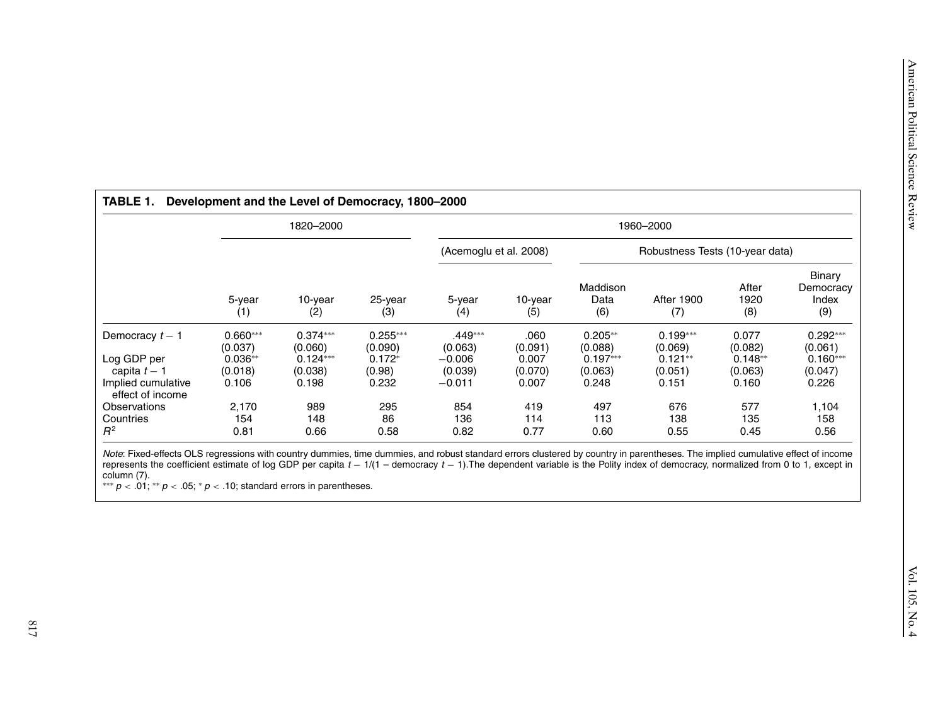|                                                                                                                                                                                                                                                                                                                                                                                                                                                                          |                                    | 1820-2000                           |                                   |                                |                          |                                    | 1960-2000                          |                               |                                     |
|--------------------------------------------------------------------------------------------------------------------------------------------------------------------------------------------------------------------------------------------------------------------------------------------------------------------------------------------------------------------------------------------------------------------------------------------------------------------------|------------------------------------|-------------------------------------|-----------------------------------|--------------------------------|--------------------------|------------------------------------|------------------------------------|-------------------------------|-------------------------------------|
|                                                                                                                                                                                                                                                                                                                                                                                                                                                                          |                                    |                                     |                                   | (Acemoglu et al. 2008)         |                          |                                    | Robustness Tests (10-year data)    |                               |                                     |
|                                                                                                                                                                                                                                                                                                                                                                                                                                                                          | 5-year<br>(1)                      | 10-year<br>(2)                      | 25-year<br>(3)                    | 5-year<br>(4)                  | 10-year<br>(5)           | Maddison<br>Data<br>(6)            | <b>After 1900</b><br>(7)           | After<br>1920<br>(8)          | Binary<br>Democracy<br>Index<br>(9) |
| Democracy $t - 1$<br>Log GDP per                                                                                                                                                                                                                                                                                                                                                                                                                                         | $0.660***$<br>(0.037)<br>$0.036**$ | $0.374***$<br>(0.060)<br>$0.124***$ | $0.255***$<br>(0.090)<br>$0.172*$ | .449***<br>(0.063)<br>$-0.006$ | .060<br>(0.091)<br>0.007 | $0.205**$<br>(0.088)<br>$0.197***$ | $0.199***$<br>(0.069)<br>$0.121**$ | 0.077<br>(0.082)<br>$0.148**$ | $0.292***$<br>(0.061)<br>$0.160***$ |
| capita $t-1$<br>Implied cumulative<br>effect of income                                                                                                                                                                                                                                                                                                                                                                                                                   | (0.018)<br>0.106                   | (0.038)<br>0.198                    | (0.98)<br>0.232                   | (0.039)<br>$-0.011$            | (0.070)<br>0.007         | (0.063)<br>0.248                   | (0.051)<br>0.151                   | (0.063)<br>0.160              | (0.047)<br>0.226                    |
| Observations<br>Countries<br>$R^2$                                                                                                                                                                                                                                                                                                                                                                                                                                       | 2,170<br>154<br>0.81               | 989<br>148<br>0.66                  | 295<br>86<br>0.58                 | 854<br>136<br>0.82             | 419<br>114<br>0.77       | 497<br>113<br>0.60                 | 676<br>138<br>0.55                 | 577<br>135<br>0.45            | 1,104<br>158<br>0.56                |
| Note: Fixed-effects OLS regressions with country dummies, time dummies, and robust standard errors clustered by country in parentheses. The implied cumulative effect of income<br>represents the coefficient estimate of log GDP per capita $t - 1/(1 -$ democracy $t - 1)$ . The dependent variable is the Polity index of democracy, normalized from 0 to 1, except in<br>column (7).<br>*** $p < .01$ ; ** $p < .05$ ; * $p < .10$ ; standard errors in parentheses. |                                    |                                     |                                   |                                |                          |                                    |                                    |                               |                                     |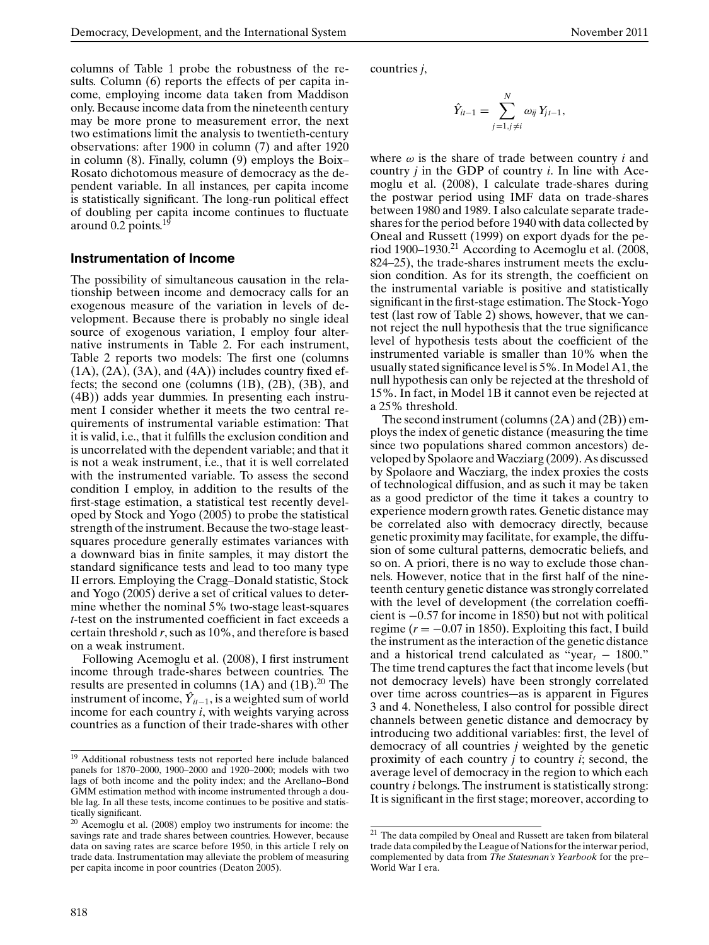columns of Table 1 probe the robustness of the results. Column (6) reports the effects of per capita income, employing income data taken from Maddison only. Because income data from the nineteenth century may be more prone to measurement error, the next two estimations limit the analysis to twentieth-century observations: after 1900 in column (7) and after 1920 in column (8). Finally, column (9) employs the Boix– Rosato dichotomous measure of democracy as the dependent variable. In all instances, per capita income is statistically significant. The long-run political effect of doubling per capita income continues to fluctuate around 0.2 points.<sup>19</sup>

## **Instrumentation of Income**

The possibility of simultaneous causation in the relationship between income and democracy calls for an exogenous measure of the variation in levels of development. Because there is probably no single ideal source of exogenous variation, I employ four alternative instruments in Table 2. For each instrument, Table 2 reports two models: The first one (columns  $(1A)$ ,  $(2A)$ ,  $(3A)$ , and  $(4A)$ ) includes country fixed effects; the second one (columns (1B), (2B), (3B), and (4B)) adds year dummies. In presenting each instrument I consider whether it meets the two central requirements of instrumental variable estimation: That it is valid, i.e., that it fulfills the exclusion condition and is uncorrelated with the dependent variable; and that it is not a weak instrument, i.e., that it is well correlated with the instrumented variable. To assess the second condition I employ, in addition to the results of the first-stage estimation, a statistical test recently developed by Stock and Yogo (2005) to probe the statistical strength of the instrument. Because the two-stage leastsquares procedure generally estimates variances with a downward bias in finite samples, it may distort the standard significance tests and lead to too many type II errors. Employing the Cragg–Donald statistic, Stock and Yogo (2005) derive a set of critical values to determine whether the nominal 5% two-stage least-squares *t*-test on the instrumented coefficient in fact exceeds a certain threshold *r*, such as 10%, and therefore is based on a weak instrument.

Following Acemoglu et al. (2008), I first instrument income through trade-shares between countries. The results are presented in columns  $(1A)$  and  $(1B)$ .<sup>20</sup> The instrument of income,  $Y_{it-1}$ , is a weighted sum of world income for each country *i*, with weights varying across countries as a function of their trade-shares with other

countries *j*,

$$
\hat{Y}_{it-1} = \sum_{j=1, j \neq i}^{N} \omega_{ij} Y_{jt-1},
$$

where  $\omega$  is the share of trade between country *i* and country *j* in the GDP of country *i*. In line with Acemoglu et al. (2008), I calculate trade-shares during the postwar period using IMF data on trade-shares between 1980 and 1989. I also calculate separate tradeshares for the period before 1940 with data collected by Oneal and Russett (1999) on export dyads for the period 1900–1930.21 According to Acemoglu et al. (2008, 824–25), the trade-shares instrument meets the exclusion condition. As for its strength, the coefficient on the instrumental variable is positive and statistically significant in the first-stage estimation. The Stock-Yogo test (last row of Table 2) shows, however, that we cannot reject the null hypothesis that the true significance level of hypothesis tests about the coefficient of the instrumented variable is smaller than 10% when the usually stated significance level is 5%. In Model A1, the null hypothesis can only be rejected at the threshold of 15%. In fact, in Model 1B it cannot even be rejected at a 25% threshold.

The second instrument (columns (2A) and (2B)) employs the index of genetic distance (measuring the time since two populations shared common ancestors) developed by Spolaore and Wacziarg (2009). As discussed by Spolaore and Wacziarg, the index proxies the costs of technological diffusion, and as such it may be taken as a good predictor of the time it takes a country to experience modern growth rates. Genetic distance may be correlated also with democracy directly, because genetic proximity may facilitate, for example, the diffusion of some cultural patterns, democratic beliefs, and so on. A priori, there is no way to exclude those channels. However, notice that in the first half of the nineteenth century genetic distance was strongly correlated with the level of development (the correlation coefficient is −0.57 for income in 1850) but not with political regime  $(r = -0.07$  in 1850). Exploiting this fact, I build the instrument as the interaction of the genetic distance and a historical trend calculated as "year<sub>t</sub>  $- 1800$ ." The time trend captures the fact that income levels (but not democracy levels) have been strongly correlated over time across countries—as is apparent in Figures 3 and 4. Nonetheless, I also control for possible direct channels between genetic distance and democracy by introducing two additional variables: first, the level of democracy of all countries *j* weighted by the genetic proximity of each country *j* to country *i*; second, the average level of democracy in the region to which each country *i* belongs. The instrument is statistically strong: It is significant in the first stage; moreover, according to

<sup>19</sup> Additional robustness tests not reported here include balanced panels for 1870–2000, 1900–2000 and 1920–2000; models with two lags of both income and the polity index; and the Arellano–Bond GMM estimation method with income instrumented through a double lag. In all these tests, income continues to be positive and statistically significant.

<sup>20</sup> Acemoglu et al. (2008) employ two instruments for income: the savings rate and trade shares between countries. However, because data on saving rates are scarce before 1950, in this article I rely on trade data. Instrumentation may alleviate the problem of measuring per capita income in poor countries (Deaton 2005).

<sup>21</sup> The data compiled by Oneal and Russett are taken from bilateral trade data compiled by the League of Nations for the interwar period, complemented by data from *The Statesman's Yearbook* for the pre– World War I era.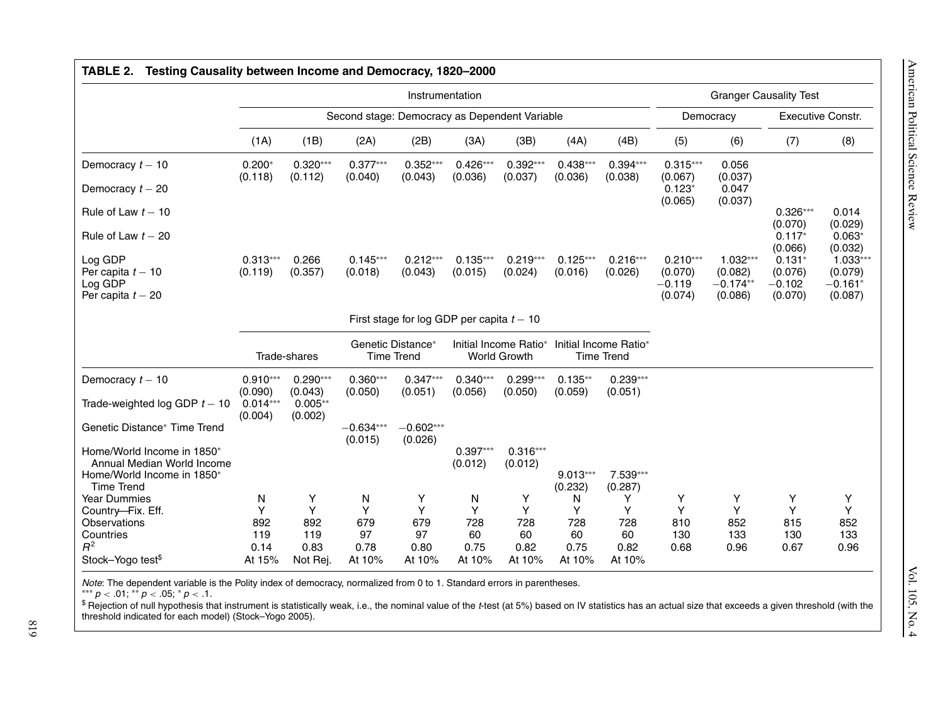|                                                                                                                                      |                                                | Instrumentation                               |                                               |                                       |                                              |                                       |                                            |                                       |                                              |                                                | <b>Granger Causality Test</b>              |                                               |  |  |
|--------------------------------------------------------------------------------------------------------------------------------------|------------------------------------------------|-----------------------------------------------|-----------------------------------------------|---------------------------------------|----------------------------------------------|---------------------------------------|--------------------------------------------|---------------------------------------|----------------------------------------------|------------------------------------------------|--------------------------------------------|-----------------------------------------------|--|--|
|                                                                                                                                      |                                                |                                               | Second stage: Democracy as Dependent Variable |                                       |                                              |                                       |                                            |                                       |                                              | Democracy                                      |                                            | <b>Executive Constr.</b>                      |  |  |
|                                                                                                                                      | (1A)                                           | (1B)                                          | (2A)                                          | (2B)                                  | (3A)                                         | (3B)                                  | (4A)                                       | (4B)                                  | (5)                                          | (6)                                            | (7)                                        | (8)                                           |  |  |
| Democracy $t - 10$                                                                                                                   | $0.200*$<br>(0.118)                            | $0.320***$<br>(0.112)                         | $0.377***$<br>(0.040)                         | $0.352***$<br>(0.043)                 | $0.426***$<br>(0.036)                        | $0.392***$<br>(0.037)                 | $0.438***$<br>(0.036)                      | $0.394***$<br>(0.038)                 | $0.315***$<br>(0.067)                        | 0.056<br>(0.037)                               |                                            |                                               |  |  |
| Democracy $t - 20$                                                                                                                   |                                                |                                               |                                               |                                       |                                              |                                       |                                            |                                       | $0.123*$<br>(0.065)                          | 0.047<br>(0.037)                               |                                            |                                               |  |  |
| Rule of Law $t - 10$                                                                                                                 |                                                |                                               |                                               |                                       |                                              |                                       |                                            |                                       |                                              |                                                | $0.326***$<br>(0.070)                      | 0.014<br>(0.029)                              |  |  |
| Rule of Law $t - 20$                                                                                                                 |                                                |                                               |                                               |                                       |                                              |                                       |                                            |                                       |                                              |                                                | $0.117*$<br>(0.066)                        | $0.063*$<br>(0.032)                           |  |  |
| Log GDP<br>Per capita $t - 10$<br>Log GDP<br>Per capita $t - 20$                                                                     | $0.313***$<br>(0.119)                          | 0.266<br>(0.357)                              | $0.145***$<br>(0.018)                         | $0.212***$<br>(0.043)                 | $0.135***$<br>(0.015)                        | $0.219***$<br>(0.024)                 | $0.125***$<br>(0.016)                      | $0.216***$<br>(0.026)                 | $0.210***$<br>(0.070)<br>$-0.119$<br>(0.074) | $1.032***$<br>(0.082)<br>$-0.174**$<br>(0.086) | $0.131*$<br>(0.076)<br>$-0.102$<br>(0.070) | $1.033***$<br>(0.079)<br>$-0.161*$<br>(0.087) |  |  |
|                                                                                                                                      | First stage for log GDP per capita $t - 10$    |                                               |                                               |                                       |                                              |                                       |                                            |                                       |                                              |                                                |                                            |                                               |  |  |
|                                                                                                                                      | Trade-shares                                   |                                               | Genetic Distance*<br><b>Time Trend</b>        |                                       | Initial Income Ratio*<br><b>World Growth</b> |                                       | Initial Income Ratio*<br><b>Time Trend</b> |                                       |                                              |                                                |                                            |                                               |  |  |
| Democracy $t - 10$<br>Trade-weighted log GDP $t - 10$                                                                                | $0.910***$<br>(0.090)<br>$0.014***$<br>(0.004) | $0.290***$<br>(0.043)<br>$0.005**$<br>(0.002) | $0.360***$<br>(0.050)                         | $0.347***$<br>(0.051)                 | $0.340***$<br>(0.056)                        | $0.299***$<br>(0.050)                 | $0.135**$<br>(0.059)                       | $0.239***$<br>(0.051)                 |                                              |                                                |                                            |                                               |  |  |
| Genetic Distance* Time Trend<br>Home/World Income in 1850*<br>Annual Median World Income<br>Home/World Income in 1850*<br>Time Trend |                                                |                                               | $-0.634***$<br>(0.015)                        | $-0.602***$<br>(0.026)                | $0.397***$<br>(0.012)                        | $0.316***$<br>(0.012)                 | $9.013***$<br>(0.232)                      | 7.539***<br>(0.287)                   |                                              |                                                |                                            |                                               |  |  |
| <b>Year Dummies</b><br>Country-Fix. Eff.<br>Observations<br>Countries<br>$R^2$<br>Stock-Yogo test <sup>\$</sup>                      | N<br>Y<br>892<br>119<br>0.14<br>At 15%         | Υ<br>Y<br>892<br>119<br>0.83<br>Not Rej.      | N<br>Y<br>679<br>97<br>0.78<br>At 10%         | Y<br>Y<br>679<br>97<br>0.80<br>At 10% | N<br>Y<br>728<br>60<br>0.75<br>At 10%        | Y<br>Y<br>728<br>60<br>0.82<br>At 10% | N<br>Y<br>728<br>60<br>0.75<br>At 10%      | Y<br>Y<br>728<br>60<br>0.82<br>At 10% | Y<br>Y<br>810<br>130<br>0.68                 | Y<br>Y<br>852<br>133<br>0.96                   | Y<br>Y<br>815<br>130<br>0.67               | Y<br>Y<br>852<br>133<br>0.96                  |  |  |

<sup>\$</sup> Rejection of null hypothesis that instrument is statistically weak, i.e., the nominal value of the t-test (at 5%) based on IV statistics has an actual size that exceeds a given threshold (with the 819 threshold indicated for each model) (Stock–Yogo 2005).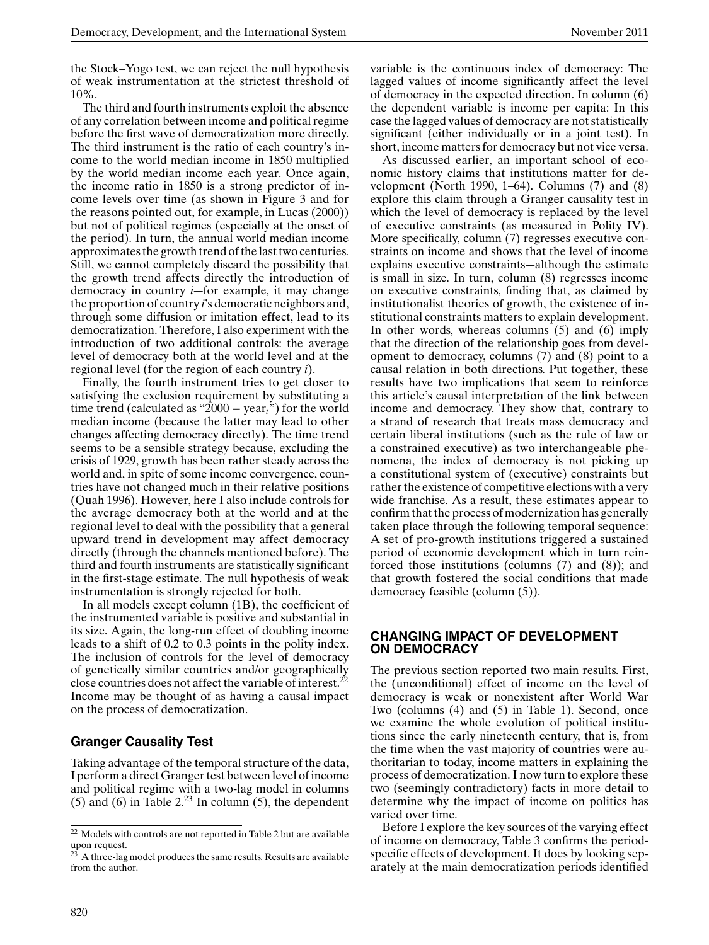the Stock–Yogo test, we can reject the null hypothesis of weak instrumentation at the strictest threshold of 10%.

The third and fourth instruments exploit the absence of any correlation between income and political regime before the first wave of democratization more directly. The third instrument is the ratio of each country's income to the world median income in 1850 multiplied by the world median income each year. Once again, the income ratio in 1850 is a strong predictor of income levels over time (as shown in Figure 3 and for the reasons pointed out, for example, in Lucas (2000)) but not of political regimes (especially at the onset of the period). In turn, the annual world median income approximates the growth trend of the last two centuries. Still, we cannot completely discard the possibility that the growth trend affects directly the introduction of democracy in country *i*—for example, it may change the proportion of country *i*'s democratic neighbors and, through some diffusion or imitation effect, lead to its democratization. Therefore, I also experiment with the introduction of two additional controls: the average level of democracy both at the world level and at the regional level (for the region of each country *i*).

Finally, the fourth instrument tries to get closer to satisfying the exclusion requirement by substituting a time trend (calculated as "2000 − year*t*") for the world median income (because the latter may lead to other changes affecting democracy directly). The time trend seems to be a sensible strategy because, excluding the crisis of 1929, growth has been rather steady across the world and, in spite of some income convergence, countries have not changed much in their relative positions (Quah 1996). However, here I also include controls for the average democracy both at the world and at the regional level to deal with the possibility that a general upward trend in development may affect democracy directly (through the channels mentioned before). The third and fourth instruments are statistically significant in the first-stage estimate. The null hypothesis of weak instrumentation is strongly rejected for both.

In all models except column (1B), the coefficient of the instrumented variable is positive and substantial in its size. Again, the long-run effect of doubling income leads to a shift of 0.2 to 0.3 points in the polity index. The inclusion of controls for the level of democracy of genetically similar countries and/or geographically close countries does not affect the variable of interest.22 Income may be thought of as having a causal impact on the process of democratization.

# **Granger Causality Test**

Taking advantage of the temporal structure of the data, I perform a direct Granger test between level of income and political regime with a two-lag model in columns (5) and (6) in Table  $2<sup>23</sup>$  In column (5), the dependent

variable is the continuous index of democracy: The lagged values of income significantly affect the level of democracy in the expected direction. In column (6) the dependent variable is income per capita: In this case the lagged values of democracy are not statistically significant (either individually or in a joint test). In short, income matters for democracy but not vice versa.

As discussed earlier, an important school of economic history claims that institutions matter for development (North 1990, 1–64). Columns (7) and (8) explore this claim through a Granger causality test in which the level of democracy is replaced by the level of executive constraints (as measured in Polity IV). More specifically, column (7) regresses executive constraints on income and shows that the level of income explains executive constraints—although the estimate is small in size. In turn, column (8) regresses income on executive constraints, finding that, as claimed by institutionalist theories of growth, the existence of institutional constraints matters to explain development. In other words, whereas columns (5) and (6) imply that the direction of the relationship goes from development to democracy, columns (7) and (8) point to a causal relation in both directions. Put together, these results have two implications that seem to reinforce this article's causal interpretation of the link between income and democracy. They show that, contrary to a strand of research that treats mass democracy and certain liberal institutions (such as the rule of law or a constrained executive) as two interchangeable phenomena, the index of democracy is not picking up a constitutional system of (executive) constraints but rather the existence of competitive elections with a very wide franchise. As a result, these estimates appear to confirm that the process of modernization has generally taken place through the following temporal sequence: A set of pro-growth institutions triggered a sustained period of economic development which in turn reinforced those institutions (columns (7) and (8)); and that growth fostered the social conditions that made democracy feasible (column (5)).

## **CHANGING IMPACT OF DEVELOPMENT ON DEMOCRACY**

The previous section reported two main results. First, the (unconditional) effect of income on the level of democracy is weak or nonexistent after World War Two (columns (4) and (5) in Table 1). Second, once we examine the whole evolution of political institutions since the early nineteenth century, that is, from the time when the vast majority of countries were authoritarian to today, income matters in explaining the process of democratization. I now turn to explore these two (seemingly contradictory) facts in more detail to determine why the impact of income on politics has varied over time.

Before I explore the key sources of the varying effect of income on democracy, Table 3 confirms the periodspecific effects of development. It does by looking separately at the main democratization periods identified

 $\overline{22}$  Models with controls are not reported in Table 2 but are available  $\frac{1}{23}$  and request.

A three-lag model produces the same results. Results are available from the author.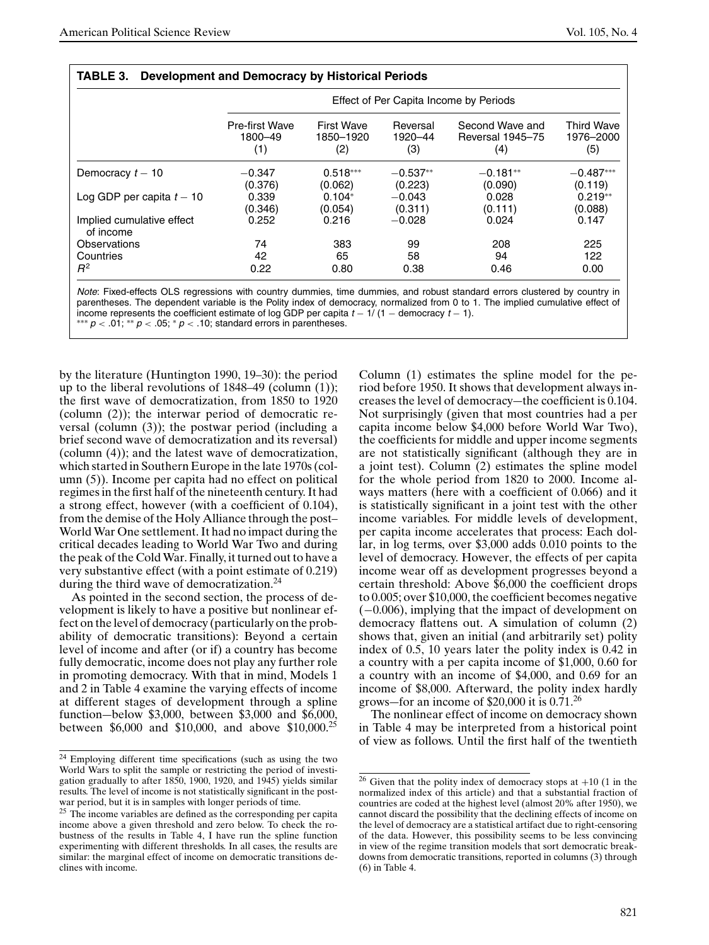|                                        |                                         |                                       |                            | Effect of Per Capita Income by Periods     |                                       |
|----------------------------------------|-----------------------------------------|---------------------------------------|----------------------------|--------------------------------------------|---------------------------------------|
|                                        | <b>Pre-first Wave</b><br>1800-49<br>(1) | <b>First Wave</b><br>1850-1920<br>(2) | Reversal<br>1920-44<br>(3) | Second Wave and<br>Reversal 1945-75<br>(4) | <b>Third Wave</b><br>1976-2000<br>(5) |
| Democracy $t - 10$                     | $-0.347$                                | $0.518***$                            | $-0.537**$                 | $-0.181**$                                 | $-0.487***$                           |
|                                        | (0.376)                                 | (0.062)                               | (0.223)                    | (0.090)                                    | (0.119)                               |
| Log GDP per capita $t - 10$            | 0.339                                   | $0.104*$                              | $-0.043$                   | 0.028                                      | $0.219**$                             |
|                                        | (0.346)                                 | (0.054)                               | (0.311)                    | (0.111)                                    | (0.088)                               |
| Implied cumulative effect<br>of income | 0.252                                   | 0.216                                 | $-0.028$                   | 0.024                                      | 0.147                                 |
| Observations                           | 74                                      | 383                                   | 99                         | 208                                        | 225                                   |
| Countries                              | 42                                      | 65                                    | 58                         | 94                                         | 122                                   |
| $R^2$                                  | 0.22                                    | 0.80                                  | 0.38                       | 0.46                                       | 0.00                                  |

**TABLE 3. Development and Democracy by Historical Periods**

Note: Fixed-effects OLS regressions with country dummies, time dummies, and robust standard errors clustered by country in parentheses. The dependent variable is the Polity index of democracy, normalized from 0 to 1. The implied cumulative effect of income represents the coefficient estimate of log GDP per capita  $t - 1/(1 -$  democracy  $t - 1$ ). \*\*\*  $p < .01$ ; \*\*  $p < .05$ ; \*  $p < .10$ ; standard errors in parentheses.

by the literature (Huntington 1990, 19–30): the period up to the liberal revolutions of 1848–49 (column (1)); the first wave of democratization, from 1850 to 1920 (column (2)); the interwar period of democratic reversal (column (3)); the postwar period (including a brief second wave of democratization and its reversal) (column (4)); and the latest wave of democratization, which started in Southern Europe in the late 1970s (column (5)). Income per capita had no effect on political regimes in the first half of the nineteenth century. It had a strong effect, however (with a coefficient of 0.104), from the demise of the Holy Alliance through the post– World War One settlement. It had no impact during the critical decades leading to World War Two and during the peak of the Cold War. Finally, it turned out to have a very substantive effect (with a point estimate of 0.219) during the third wave of democratization.<sup>24</sup>

As pointed in the second section, the process of development is likely to have a positive but nonlinear effect on the level of democracy (particularly on the probability of democratic transitions): Beyond a certain level of income and after (or if) a country has become fully democratic, income does not play any further role in promoting democracy. With that in mind, Models 1 and 2 in Table 4 examine the varying effects of income at different stages of development through a spline function—below \$3,000, between \$3,000 and \$6,000, between \$6,000 and \$10,000, and above \$10,000.25 Column (1) estimates the spline model for the period before 1950. It shows that development always increases the level of democracy—the coefficient is 0.104. Not surprisingly (given that most countries had a per capita income below \$4,000 before World War Two), the coefficients for middle and upper income segments are not statistically significant (although they are in a joint test). Column (2) estimates the spline model for the whole period from 1820 to 2000. Income always matters (here with a coefficient of 0.066) and it is statistically significant in a joint test with the other income variables. For middle levels of development, per capita income accelerates that process: Each dollar, in log terms, over \$3,000 adds 0.010 points to the level of democracy. However, the effects of per capita income wear off as development progresses beyond a certain threshold: Above \$6,000 the coefficient drops to 0.005; over \$10,000, the coefficient becomes negative (−0.006), implying that the impact of development on democracy flattens out. A simulation of column (2) shows that, given an initial (and arbitrarily set) polity index of 0.5, 10 years later the polity index is 0.42 in a country with a per capita income of \$1,000, 0.60 for a country with an income of \$4,000, and 0.69 for an income of \$8,000. Afterward, the polity index hardly grows—for an income of  $$20,000$  it is  $0.71$ <sup>26</sup>

The nonlinear effect of income on democracy shown in Table 4 may be interpreted from a historical point of view as follows. Until the first half of the twentieth

<sup>24</sup> Employing different time specifications (such as using the two World Wars to split the sample or restricting the period of investigation gradually to after 1850, 1900, 1920, and 1945) yields similar results. The level of income is not statistically significant in the postwar period, but it is in samples with longer periods of time.

<sup>&</sup>lt;sup>25</sup> The income variables are defined as the corresponding per capita income above a given threshold and zero below. To check the robustness of the results in Table 4, I have run the spline function experimenting with different thresholds. In all cases, the results are similar: the marginal effect of income on democratic transitions declines with income.

<sup>&</sup>lt;sup>26</sup> Given that the polity index of democracy stops at  $+10$  (1 in the normalized index of this article) and that a substantial fraction of countries are coded at the highest level (almost 20% after 1950), we cannot discard the possibility that the declining effects of income on the level of democracy are a statistical artifact due to right-censoring of the data. However, this possibility seems to be less convincing in view of the regime transition models that sort democratic breakdowns from democratic transitions, reported in columns (3) through (6) in Table 4.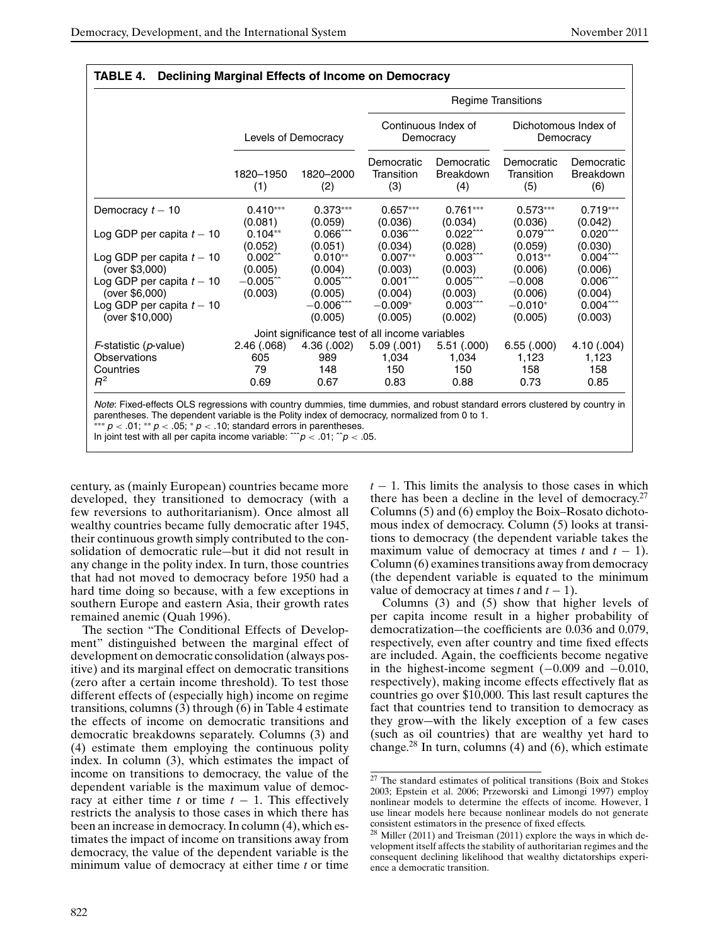|                                                                            |                                 |                                              |                                                 |                                             | <b>Regime Transitions</b>         |                                                     |  |
|----------------------------------------------------------------------------|---------------------------------|----------------------------------------------|-------------------------------------------------|---------------------------------------------|-----------------------------------|-----------------------------------------------------|--|
|                                                                            | Levels of Democracy             |                                              |                                                 | Continuous Index of<br>Democracy            | Dichotomous Index of<br>Democracy |                                                     |  |
|                                                                            | 1820-1950<br>(1)                | 1820-2000<br>(2)                             | Democratic<br>Transition<br>(3)                 | Democratic<br><b>Breakdown</b><br>(4)       | Democratic<br>Transition<br>(5)   | Democratic<br><b>Breakdown</b><br>(6)               |  |
| Democracy $t - 10$                                                         | $0.410***$<br>(0.081)           | $0.373***$<br>(0.059)                        | $0.657***$<br>(0.036)                           | $0.761***$<br>(0.034)                       | $0.573***$<br>(0.036)             | $0.719***$<br>(0.042)                               |  |
| Log GDP per capita $t-10$                                                  | $0.104**$<br>(0.052)            | $0.066$ $\hat{}$<br>(0.051)                  | $0.036$ $\sim$<br>(0.034)                       | $0.022$ $\sim$<br>(0.028)                   | $0.079$ $\sim$<br>(0.059)         | $0.020$ <sup>20</sup><br>(0.030)                    |  |
| Log GDP per capita $t-10$<br>(over \$3,000)                                | $0.002$ <sup>2</sup><br>(0.005) | $0.010**$<br>(0.004)                         | $0.007**$<br>(0.003)                            | $0.003$ $\sim$<br>(0.003)                   | $0.013**$<br>(0.006)              | $0.004$ <sup>22</sup><br>(0.006)                    |  |
| Log GDP per capita $t - 10$<br>(over \$6,000)<br>Log GDP per capita $t-10$ | $-0.005$ ^^<br>(0.003)          | $0.005$ $\sim$<br>(0.005)<br>$-0.006$ $\sim$ | $0.001$ ^^^<br>(0.004)<br>$-0.009*$             | $0.005$ $\sim$<br>(0.003)<br>$0.003$ $\sim$ | $-0.008$<br>(0.006)<br>$-0.010*$  | $0.006^{\circ}$<br>(0.004)<br>$0.004$ <sup>22</sup> |  |
| (over \$10,000)                                                            |                                 | (0.005)                                      | (0.005)                                         | (0.002)                                     | (0.005)                           | (0.003)                                             |  |
|                                                                            |                                 |                                              | Joint significance test of all income variables |                                             |                                   |                                                     |  |
| <i>F</i> -statistic ( <i>p</i> -value)<br>Observations                     | 2.46 (.068)<br>605              | 4.36(.002)<br>989                            | 5.09(.001)<br>1,034                             | 5.51(.000)<br>1,034                         | 6.55(0.000)<br>1,123              | 4.10 (.004)<br>1,123                                |  |
| Countries<br>$R^2$                                                         | 79<br>0.69                      | 148<br>0.67                                  | 150<br>0.83                                     | 150<br>0.88                                 | 158<br>0.73                       | 158<br>0.85                                         |  |

**TABLE 4. Declining Marginal Effects of Income on Democracy**

In joint test with all per capita income variable:  $\hat{p}$  < .01;  $\hat{p}$  < .05.

century, as (mainly European) countries became more developed, they transitioned to democracy (with a few reversions to authoritarianism). Once almost all wealthy countries became fully democratic after 1945, their continuous growth simply contributed to the consolidation of democratic rule—but it did not result in any change in the polity index. In turn, those countries that had not moved to democracy before 1950 had a hard time doing so because, with a few exceptions in southern Europe and eastern Asia, their growth rates remained anemic (Quah 1996).

The section "The Conditional Effects of Development" distinguished between the marginal effect of development on democratic consolidation (always positive) and its marginal effect on democratic transitions (zero after a certain income threshold). To test those different effects of (especially high) income on regime transitions, columns (3) through (6) in Table 4 estimate the effects of income on democratic transitions and democratic breakdowns separately. Columns (3) and (4) estimate them employing the continuous polity index. In column (3), which estimates the impact of income on transitions to democracy, the value of the dependent variable is the maximum value of democracy at either time  $t$  or time  $t - 1$ . This effectively restricts the analysis to those cases in which there has been an increase in democracy. In column (4), which estimates the impact of income on transitions away from democracy, the value of the dependent variable is the minimum value of democracy at either time *t* or time  $t - 1$ . This limits the analysis to those cases in which there has been a decline in the level of democracy.<sup>27</sup> Columns (5) and (6) employ the Boix–Rosato dichotomous index of democracy. Column (5) looks at transitions to democracy (the dependent variable takes the maximum value of democracy at times  $t$  and  $t - 1$ ). Column (6) examines transitions away from democracy (the dependent variable is equated to the minimum value of democracy at times  $t$  and  $t - 1$ ).

Columns (3) and (5) show that higher levels of per capita income result in a higher probability of democratization—the coefficients are 0.036 and 0.079, respectively, even after country and time fixed effects are included. Again, the coefficients become negative in the highest-income segment  $(-0.009 \text{ and } -0.010,$ respectively), making income effects effectively flat as countries go over \$10,000. This last result captures the fact that countries tend to transition to democracy as they grow—with the likely exception of a few cases (such as oil countries) that are wealthy yet hard to change.<sup>28</sup> In turn, columns (4) and (6), which estimate

<sup>27</sup> The standard estimates of political transitions (Boix and Stokes 2003; Epstein et al. 2006; Przeworski and Limongi 1997) employ nonlinear models to determine the effects of income. However, I use linear models here because nonlinear models do not generate consistent estimators in the presence of fixed effects.

<sup>28</sup> Miller (2011) and Treisman (2011) explore the ways in which development itself affects the stability of authoritarian regimes and the consequent declining likelihood that wealthy dictatorships experience a democratic transition.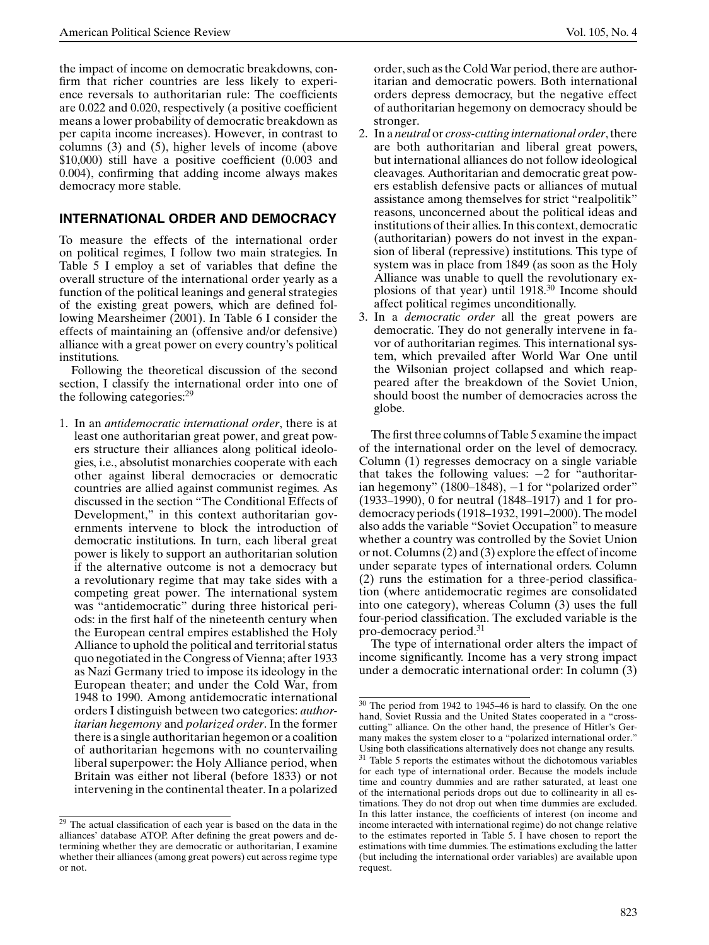the impact of income on democratic breakdowns, confirm that richer countries are less likely to experience reversals to authoritarian rule: The coefficients are 0.022 and 0.020, respectively (a positive coefficient means a lower probability of democratic breakdown as per capita income increases). However, in contrast to columns (3) and (5), higher levels of income (above \$10,000) still have a positive coefficient (0.003 and 0.004), confirming that adding income always makes democracy more stable.

## **INTERNATIONAL ORDER AND DEMOCRACY**

To measure the effects of the international order on political regimes, I follow two main strategies. In Table 5 I employ a set of variables that define the overall structure of the international order yearly as a function of the political leanings and general strategies of the existing great powers, which are defined following Mearsheimer (2001). In Table 6 I consider the effects of maintaining an (offensive and/or defensive) alliance with a great power on every country's political institutions.

Following the theoretical discussion of the second section, I classify the international order into one of the following categories:<sup>29</sup>

1. In an *antidemocratic international order*, there is at least one authoritarian great power, and great powers structure their alliances along political ideologies, i.e., absolutist monarchies cooperate with each other against liberal democracies or democratic countries are allied against communist regimes. As discussed in the section "The Conditional Effects of Development," in this context authoritarian governments intervene to block the introduction of democratic institutions. In turn, each liberal great power is likely to support an authoritarian solution if the alternative outcome is not a democracy but a revolutionary regime that may take sides with a competing great power. The international system was "antidemocratic" during three historical periods: in the first half of the nineteenth century when the European central empires established the Holy Alliance to uphold the political and territorial status quo negotiated in the Congress of Vienna; after 1933 as Nazi Germany tried to impose its ideology in the European theater; and under the Cold War, from 1948 to 1990. Among antidemocratic international orders I distinguish between two categories: *authoritarian hegemony* and *polarized order*. In the former there is a single authoritarian hegemon or a coalition of authoritarian hegemons with no countervailing liberal superpower: the Holy Alliance period, when Britain was either not liberal (before 1833) or not intervening in the continental theater. In a polarized

order, such as the Cold War period, there are authoritarian and democratic powers. Both international orders depress democracy, but the negative effect of authoritarian hegemony on democracy should be stronger.

- 2. In a *neutral* or *cross-cutting international order*, there are both authoritarian and liberal great powers, but international alliances do not follow ideological cleavages. Authoritarian and democratic great powers establish defensive pacts or alliances of mutual assistance among themselves for strict "realpolitik" reasons, unconcerned about the political ideas and institutions of their allies. In this context, democratic (authoritarian) powers do not invest in the expansion of liberal (repressive) institutions. This type of system was in place from 1849 (as soon as the Holy Alliance was unable to quell the revolutionary explosions of that year) until 1918.<sup>30</sup> Income should affect political regimes unconditionally.
- 3. In a *democratic order* all the great powers are democratic. They do not generally intervene in favor of authoritarian regimes. This international system, which prevailed after World War One until the Wilsonian project collapsed and which reappeared after the breakdown of the Soviet Union, should boost the number of democracies across the globe.

The first three columns of Table 5 examine the impact of the international order on the level of democracy. Column (1) regresses democracy on a single variable that takes the following values: −2 for "authoritarian hegemony" (1800–1848), −1 for "polarized order" (1933–1990), 0 for neutral (1848–1917) and 1 for prodemocracy periods (1918–1932, 1991–2000). The model also adds the variable "Soviet Occupation" to measure whether a country was controlled by the Soviet Union or not. Columns (2) and (3) explore the effect of income under separate types of international orders. Column (2) runs the estimation for a three-period classification (where antidemocratic regimes are consolidated into one category), whereas Column (3) uses the full four-period classification. The excluded variable is the pro-democracy period.<sup>31</sup>

The type of international order alters the impact of income significantly. Income has a very strong impact under a democratic international order: In column (3)

<sup>&</sup>lt;sup>29</sup> The actual classification of each year is based on the data in the alliances' database ATOP. After defining the great powers and determining whether they are democratic or authoritarian, I examine whether their alliances (among great powers) cut across regime type or not.

<sup>30</sup> The period from 1942 to 1945–46 is hard to classify. On the one hand, Soviet Russia and the United States cooperated in a "crosscutting" alliance. On the other hand, the presence of Hitler's Germany makes the system closer to a "polarized international order." Using both classifications alternatively does not change any results. <sup>31</sup> Table 5 reports the estimates without the dichotomous variables for each type of international order. Because the models include time and country dummies and are rather saturated, at least one of the international periods drops out due to collinearity in all estimations. They do not drop out when time dummies are excluded. In this latter instance, the coefficients of interest (on income and income interacted with international regime) do not change relative to the estimates reported in Table 5. I have chosen to report the estimations with time dummies. The estimations excluding the latter (but including the international order variables) are available upon request.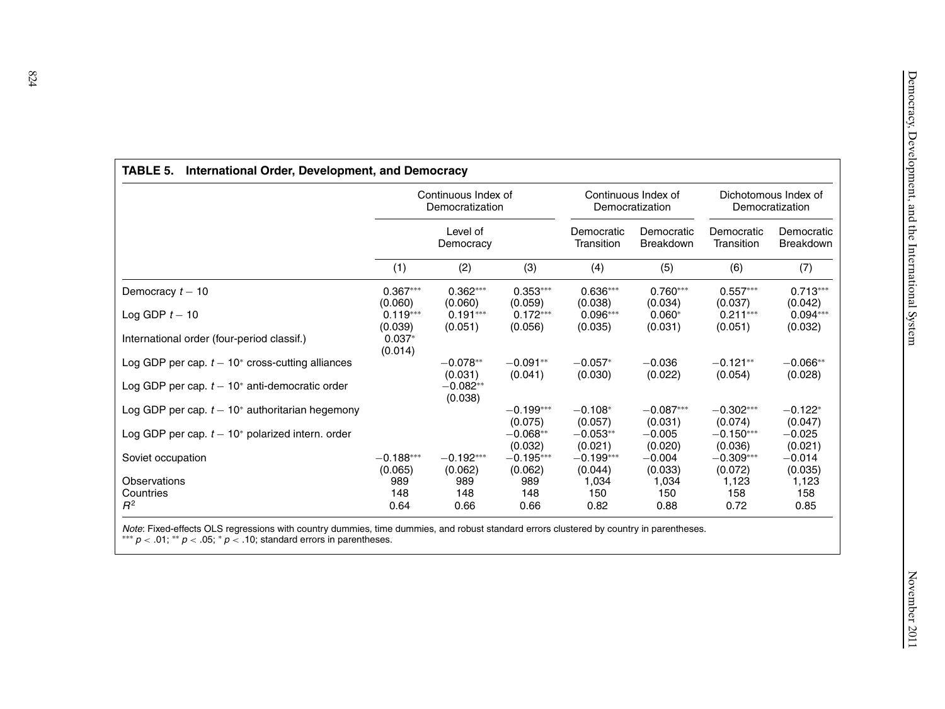|                                                     |                       | Continuous Index of<br>Democratization |                        |                          | Continuous Index of<br>Democratization |                                                            | Dichotomous Index of<br>Democratization |
|-----------------------------------------------------|-----------------------|----------------------------------------|------------------------|--------------------------|----------------------------------------|------------------------------------------------------------|-----------------------------------------|
|                                                     |                       | Level of<br>Democracy                  |                        | Democratic<br>Transition | Democratic<br><b>Breakdown</b>         | Democratic<br>Democratic<br>Transition<br><b>Breakdown</b> |                                         |
|                                                     | (1)                   | (2)                                    | (3)                    | (4)                      | (5)                                    | (6)                                                        | (7)                                     |
| Democracy $t - 10$                                  | $0.367***$<br>(0.060) | $0.362***$<br>(0.060)                  | $0.353***$<br>(0.059)  | $0.636***$<br>(0.038)    | $0.760***$<br>(0.034)                  | $0.557***$<br>(0.037)                                      | $0.713***$<br>(0.042)                   |
| Log GDP $t-10$                                      | $0.119***$<br>(0.039) | $0.191***$<br>(0.051)                  | $0.172***$<br>(0.056)  | $0.096***$<br>(0.035)    | $0.060*$<br>(0.031)                    | $0.211***$<br>(0.051)                                      | $0.094***$<br>(0.032)                   |
| International order (four-period classif.)          | $0.037*$<br>(0.014)   |                                        |                        |                          |                                        |                                                            |                                         |
| Log GDP per cap. $t - 10^*$ cross-cutting alliances |                       | $-0.078**$<br>(0.031)                  | $-0.091**$<br>(0.041)  | $-0.057*$<br>(0.030)     | $-0.036$<br>(0.022)                    | $-0.121**$<br>(0.054)                                      | $-0.066**$<br>(0.028)                   |
| Log GDP per cap. $t - 10^*$ anti-democratic order   |                       | $-0.082**$<br>(0.038)                  |                        |                          |                                        |                                                            |                                         |
| Log GDP per cap. $t - 10^*$ authoritarian hegemony  |                       |                                        | $-0.199***$<br>(0.075) | $-0.108*$<br>(0.057)     | $-0.087***$<br>(0.031)                 | $-0.302***$<br>(0.074)                                     | $-0.122*$<br>(0.047)                    |
| Log GDP per cap. $t - 10^*$ polarized intern. order |                       |                                        | $-0.068**$<br>(0.032)  | $-0.053**$<br>(0.021)    | $-0.005$<br>(0.020)                    | $-0.150***$<br>(0.036)                                     | $-0.025$<br>(0.021)                     |
| Soviet occupation                                   | $-0.188***$           | $-0.192***$                            | $-0.195***$            | $-0.199***$              | $-0.004$                               | $-0.309***$                                                | $-0.014$                                |
| Observations<br>Countries                           | (0.065)<br>989<br>148 | (0.062)<br>989<br>148                  | (0.062)<br>989<br>148  | (0.044)<br>1,034<br>150  | (0.033)<br>1,034<br>150                | (0.072)<br>1,123<br>158                                    | (0.035)<br>1,123<br>158                 |
| $R^2$                                               | 0.64                  | 0.66                                   | 0.66                   | 0.82                     | 0.88                                   | 0.72                                                       | 0.85                                    |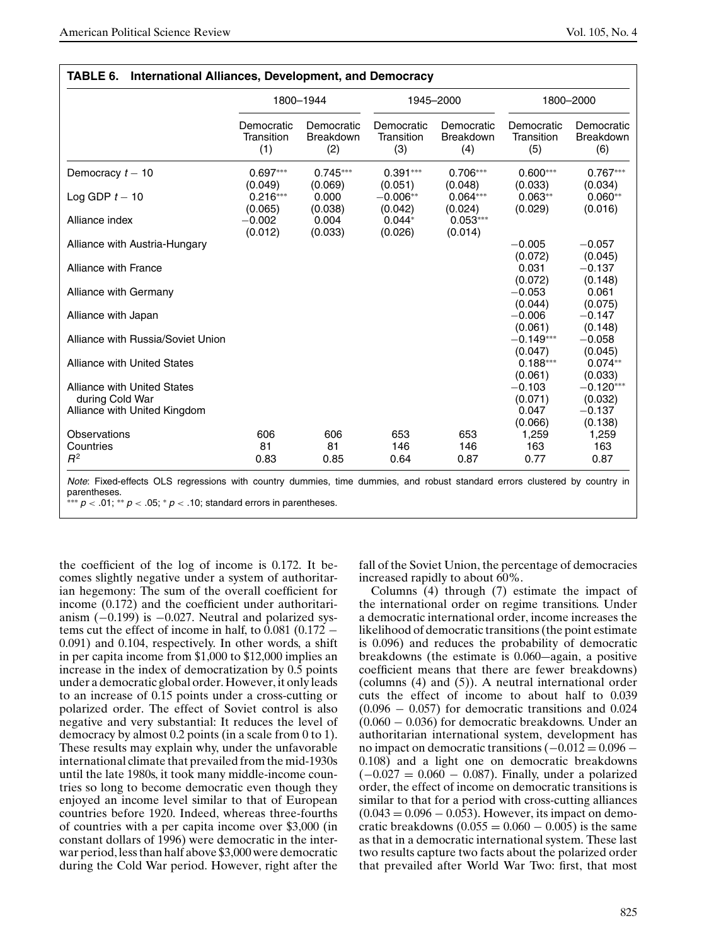|                                                                                       |                                 | 1800-1944                             |                                 | 1945-2000                             |                                         | 1800-2000                                     |
|---------------------------------------------------------------------------------------|---------------------------------|---------------------------------------|---------------------------------|---------------------------------------|-----------------------------------------|-----------------------------------------------|
|                                                                                       | Democratic<br>Transition<br>(1) | Democratic<br><b>Breakdown</b><br>(2) | Democratic<br>Transition<br>(3) | Democratic<br><b>Breakdown</b><br>(4) | Democratic<br>Transition<br>(5)         | Democratic<br><b>Breakdown</b><br>(6)         |
| Democracy $t - 10$                                                                    | $0.697***$<br>(0.049)           | $0.745***$<br>(0.069)                 | $0.391***$<br>(0.051)           | $0.706***$<br>(0.048)                 | $0.600***$<br>(0.033)                   | $0.767***$<br>(0.034)                         |
| Log GDP $t-10$                                                                        | $0.216***$<br>(0.065)           | 0.000<br>(0.038)                      | $-0.006**$<br>(0.042)           | $0.064***$<br>(0.024)                 | $0.063**$<br>(0.029)                    | $0.060**$<br>(0.016)                          |
| Alliance index                                                                        | $-0.002$<br>(0.012)             | 0.004<br>(0.033)                      | $0.044*$<br>(0.026)             | $0.053***$<br>(0.014)                 |                                         |                                               |
| Alliance with Austria-Hungary                                                         |                                 |                                       |                                 |                                       | $-0.005$<br>(0.072)                     | $-0.057$<br>(0.045)                           |
| Alliance with France                                                                  |                                 |                                       |                                 |                                       | 0.031<br>(0.072)                        | $-0.137$<br>(0.148)                           |
| Alliance with Germany                                                                 |                                 |                                       |                                 |                                       | $-0.053$<br>(0.044)                     | 0.061<br>(0.075)                              |
| Alliance with Japan                                                                   |                                 |                                       |                                 |                                       | $-0.006$<br>(0.061)                     | $-0.147$<br>(0.148)                           |
| Alliance with Russia/Soviet Union                                                     |                                 |                                       |                                 |                                       | $-0.149***$<br>(0.047)                  | $-0.058$<br>(0.045)                           |
| Alliance with United States                                                           |                                 |                                       |                                 |                                       | $0.188***$<br>(0.061)                   | $0.074**$<br>(0.033)                          |
| <b>Alliance with United States</b><br>during Cold War<br>Alliance with United Kingdom |                                 |                                       |                                 |                                       | $-0.103$<br>(0.071)<br>0.047<br>(0.066) | $-0.120***$<br>(0.032)<br>$-0.137$<br>(0.138) |
| Observations                                                                          | 606                             | 606                                   | 653                             | 653                                   | 1,259                                   | 1,259                                         |
| Countries                                                                             | 81                              | 81                                    | 146                             | 146                                   | 163                                     | 163                                           |
| $R^2$                                                                                 | 0.83                            | 0.85                                  | 0.64                            | 0.87                                  | 0.77                                    | 0.87                                          |

sions with country dummies, time dummies, and robust standard parentheses.

∗∗∗ p *<* .01; ∗∗ p *<* .05; ∗ p *<* .10; standard errors in parentheses.

the coefficient of the log of income is 0.172. It becomes slightly negative under a system of authoritarian hegemony: The sum of the overall coefficient for income (0.172) and the coefficient under authoritarianism  $(-0.199)$  is  $-0.027$ . Neutral and polarized systems cut the effect of income in half, to  $0.081$  ( $0.172 -$ 0.091) and 0.104, respectively. In other words, a shift in per capita income from \$1,000 to \$12,000 implies an increase in the index of democratization by 0.5 points under a democratic global order. However, it only leads to an increase of 0.15 points under a cross-cutting or polarized order. The effect of Soviet control is also negative and very substantial: It reduces the level of democracy by almost 0.2 points (in a scale from 0 to 1). These results may explain why, under the unfavorable international climate that prevailed from the mid-1930s until the late 1980s, it took many middle-income countries so long to become democratic even though they enjoyed an income level similar to that of European countries before 1920. Indeed, whereas three-fourths of countries with a per capita income over \$3,000 (in constant dollars of 1996) were democratic in the interwar period, less than half above \$3,000 were democratic during the Cold War period. However, right after the

fall of the Soviet Union, the percentage of democracies increased rapidly to about 60%.

Columns (4) through (7) estimate the impact of the international order on regime transitions. Under a democratic international order, income increases the likelihood of democratic transitions (the point estimate is 0.096) and reduces the probability of democratic breakdowns (the estimate is 0.060—again, a positive coefficient means that there are fewer breakdowns) (columns (4) and (5)). A neutral international order cuts the effect of income to about half to 0.039  $(0.096 - 0.057)$  for democratic transitions and 0.024 (0.060 − 0.036) for democratic breakdowns. Under an authoritarian international system, development has no impact on democratic transitions  $(-0.012 = 0.096 -$ 0.108) and a light one on democratic breakdowns  $(-0.027 = 0.060 - 0.087)$ . Finally, under a polarized order, the effect of income on democratic transitions is similar to that for a period with cross-cutting alliances  $(0.043 = 0.096 - 0.053)$ . However, its impact on democratic breakdowns  $(0.055 = 0.060 - 0.005)$  is the same as that in a democratic international system. These last two results capture two facts about the polarized order that prevailed after World War Two: first, that most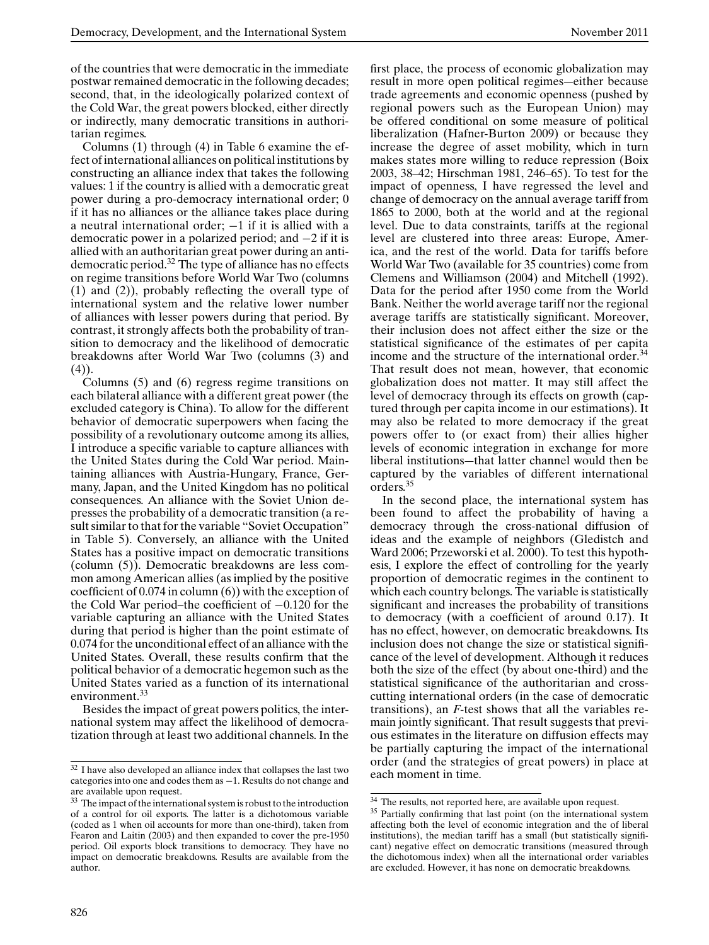of the countries that were democratic in the immediate postwar remained democratic in the following decades; second, that, in the ideologically polarized context of the Cold War, the great powers blocked, either directly or indirectly, many democratic transitions in authoritarian regimes.

Columns (1) through (4) in Table 6 examine the effect of international alliances on political institutions by constructing an alliance index that takes the following values: 1 if the country is allied with a democratic great power during a pro-democracy international order; 0 if it has no alliances or the alliance takes place during a neutral international order; −1 if it is allied with a democratic power in a polarized period; and −2 if it is allied with an authoritarian great power during an antidemocratic period.<sup>32</sup> The type of alliance has no effects on regime transitions before World War Two (columns (1) and (2)), probably reflecting the overall type of international system and the relative lower number of alliances with lesser powers during that period. By contrast, it strongly affects both the probability of transition to democracy and the likelihood of democratic breakdowns after World War Two (columns (3) and  $(4)$ ).

Columns (5) and (6) regress regime transitions on each bilateral alliance with a different great power (the excluded category is China). To allow for the different behavior of democratic superpowers when facing the possibility of a revolutionary outcome among its allies, I introduce a specific variable to capture alliances with the United States during the Cold War period. Maintaining alliances with Austria-Hungary, France, Germany, Japan, and the United Kingdom has no political consequences. An alliance with the Soviet Union depresses the probability of a democratic transition (a result similar to that for the variable "Soviet Occupation" in Table 5). Conversely, an alliance with the United States has a positive impact on democratic transitions (column (5)). Democratic breakdowns are less common among American allies (as implied by the positive coefficient of 0.074 in column (6)) with the exception of the Cold War period–the coefficient of −0.120 for the variable capturing an alliance with the United States during that period is higher than the point estimate of 0.074 for the unconditional effect of an alliance with the United States. Overall, these results confirm that the political behavior of a democratic hegemon such as the United States varied as a function of its international environment.<sup>33</sup>

Besides the impact of great powers politics, the international system may affect the likelihood of democratization through at least two additional channels. In the first place, the process of economic globalization may result in more open political regimes—either because trade agreements and economic openness (pushed by regional powers such as the European Union) may be offered conditional on some measure of political liberalization (Hafner-Burton 2009) or because they increase the degree of asset mobility, which in turn makes states more willing to reduce repression (Boix 2003, 38–42; Hirschman 1981, 246–65). To test for the impact of openness, I have regressed the level and change of democracy on the annual average tariff from 1865 to 2000, both at the world and at the regional level. Due to data constraints, tariffs at the regional level are clustered into three areas: Europe, America, and the rest of the world. Data for tariffs before World War Two (available for 35 countries) come from Clemens and Williamson (2004) and Mitchell (1992). Data for the period after 1950 come from the World Bank. Neither the world average tariff nor the regional average tariffs are statistically significant. Moreover, their inclusion does not affect either the size or the statistical significance of the estimates of per capita income and the structure of the international order.<sup>34</sup> That result does not mean, however, that economic globalization does not matter. It may still affect the level of democracy through its effects on growth (captured through per capita income in our estimations). It may also be related to more democracy if the great powers offer to (or exact from) their allies higher levels of economic integration in exchange for more liberal institutions—that latter channel would then be captured by the variables of different international orders.<sup>35</sup>

In the second place, the international system has been found to affect the probability of having a democracy through the cross-national diffusion of ideas and the example of neighbors (Gledistch and Ward 2006; Przeworski et al. 2000). To test this hypothesis, I explore the effect of controlling for the yearly proportion of democratic regimes in the continent to which each country belongs. The variable is statistically significant and increases the probability of transitions to democracy (with a coefficient of around 0.17). It has no effect, however, on democratic breakdowns. Its inclusion does not change the size or statistical significance of the level of development. Although it reduces both the size of the effect (by about one-third) and the statistical significance of the authoritarian and crosscutting international orders (in the case of democratic transitions), an *F*-test shows that all the variables remain jointly significant. That result suggests that previous estimates in the literature on diffusion effects may be partially capturing the impact of the international order (and the strategies of great powers) in place at each moment in time.

<sup>&</sup>lt;sup>32</sup> I have also developed an alliance index that collapses the last two categories into one and codes them as −1. Results do not change and are available upon request.

<sup>&</sup>lt;sup>33</sup> The impact of the international system is robust to the introduction of a control for oil exports. The latter is a dichotomous variable (coded as 1 when oil accounts for more than one-third), taken from Fearon and Laitin (2003) and then expanded to cover the pre-1950 period. Oil exports block transitions to democracy. They have no impact on democratic breakdowns. Results are available from the author.

<sup>34</sup> The results, not reported here, are available upon request.

<sup>&</sup>lt;sup>35</sup> Partially confirming that last point (on the international system affecting both the level of economic integration and the of liberal institutions), the median tariff has a small (but statistically significant) negative effect on democratic transitions (measured through the dichotomous index) when all the international order variables are excluded. However, it has none on democratic breakdowns.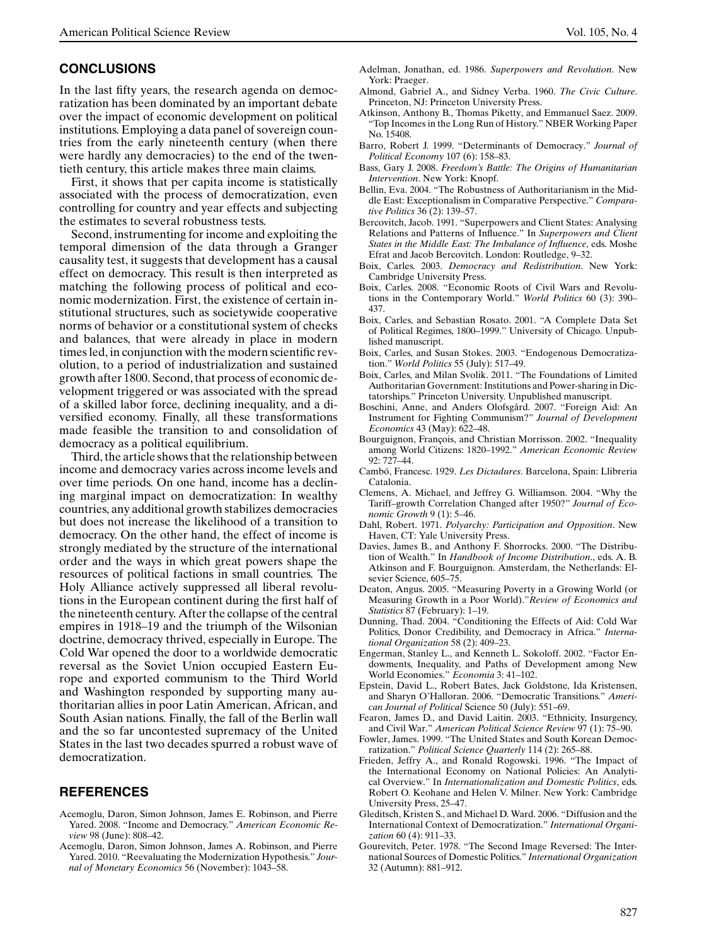### **CONCLUSIONS**

In the last fifty years, the research agenda on democratization has been dominated by an important debate over the impact of economic development on political institutions. Employing a data panel of sovereign countries from the early nineteenth century (when there were hardly any democracies) to the end of the twentieth century, this article makes three main claims.

First, it shows that per capita income is statistically associated with the process of democratization, even controlling for country and year effects and subjecting the estimates to several robustness tests.

Second, instrumenting for income and exploiting the temporal dimension of the data through a Granger causality test, it suggests that development has a causal effect on democracy. This result is then interpreted as matching the following process of political and economic modernization. First, the existence of certain institutional structures, such as societywide cooperative norms of behavior or a constitutional system of checks and balances, that were already in place in modern times led, in conjunction with the modern scientific revolution, to a period of industrialization and sustained growth after 1800. Second, that process of economic development triggered or was associated with the spread of a skilled labor force, declining inequality, and a diversified economy. Finally, all these transformations made feasible the transition to and consolidation of democracy as a political equilibrium.

Third, the article shows that the relationship between income and democracy varies across income levels and over time periods. On one hand, income has a declining marginal impact on democratization: In wealthy countries, any additional growth stabilizes democracies but does not increase the likelihood of a transition to democracy. On the other hand, the effect of income is strongly mediated by the structure of the international order and the ways in which great powers shape the resources of political factions in small countries. The Holy Alliance actively suppressed all liberal revolutions in the European continent during the first half of the nineteenth century. After the collapse of the central empires in 1918–19 and the triumph of the Wilsonian doctrine, democracy thrived, especially in Europe. The Cold War opened the door to a worldwide democratic reversal as the Soviet Union occupied Eastern Europe and exported communism to the Third World and Washington responded by supporting many authoritarian allies in poor Latin American, African, and South Asian nations. Finally, the fall of the Berlin wall and the so far uncontested supremacy of the United States in the last two decades spurred a robust wave of democratization.

#### **REFERENCES**

- Acemoglu, Daron, Simon Johnson, James E. Robinson, and Pierre Yared. 2008. "Income and Democracy." *American Economic Review* 98 (June): 808–42.
- Acemoglu, Daron, Simon Johnson, James A. Robinson, and Pierre Yared. 2010. "Reevaluating the Modernization Hypothesis." *Journal of Monetary Economics* 56 (November): 1043–58.
- Adelman, Jonathan, ed. 1986. *Superpowers and Revolution*. New York: Praeger.
- Almond, Gabriel A., and Sidney Verba. 1960. *The Civic Culture*. Princeton, NJ: Princeton University Press.
- Atkinson, Anthony B., Thomas Piketty, and Emmanuel Saez. 2009. "Top Incomes in the Long Run of History." NBER Working Paper No. 15408.
- Barro, Robert J. 1999. "Determinants of Democracy." *Journal of Political Economy* 107 (6): 158–83.
- Bass, Gary J. 2008. *Freedom's Battle: The Origins of Humanitarian Intervention*. New York: Knopf.
- Bellin, Eva. 2004. "The Robustness of Authoritarianism in the Middle East: Exceptionalism in Comparative Perspective." *Comparative Politics* 36 (2): 139–57.
- Bercovitch, Jacob. 1991. "Superpowers and Client States: Analysing Relations and Patterns of Influence." In *Superpowers and Client States in the Middle East: The Imbalance of Influence*, eds. Moshe Efrat and Jacob Bercovitch. London: Routledge, 9–32.
- Boix, Carles. 2003. *Democracy and Redistribution*. New York: Cambridge University Press.
- Boix, Carles. 2008. "Economic Roots of Civil Wars and Revolutions in the Contemporary World." *World Politics* 60 (3): 390– 437.
- Boix, Carles, and Sebastian Rosato. 2001. "A Complete Data Set of Political Regimes, 1800–1999." University of Chicago. Unpublished manuscript.
- Boix, Carles, and Susan Stokes. 2003. "Endogenous Democratization." *World Politics* 55 (July): 517–49.
- Boix, Carles, and Milan Svolik. 2011. "The Foundations of Limited Authoritarian Government: Institutions and Power-sharing in Dictatorships." Princeton University. Unpublished manuscript.
- Boschini, Anne, and Anders Olofsgård. 2007. "Foreign Aid: An Instrument for Fighting Communism?" *Journal of Development Economics* 43 (May): 622–48.
- Bourguignon, François, and Christian Morrisson. 2002. "Inequality among World Citizens: 1820–1992." *American Economic Review* 92: 727–44.
- Cambó, Francesc. 1929. Les Dictadures. Barcelona, Spain: Llibreria Catalonia.
- Clemens, A. Michael, and Jeffrey G. Williamson. 2004. "Why the Tariff–growth Correlation Changed after 1950?" *Journal of Economic Growth* 9 (1): 5–46.
- Dahl, Robert. 1971. *Polyarchy: Participation and Opposition*. New Haven, CT: Yale University Press.
- Davies, James B., and Anthony F. Shorrocks. 2000. "The Distribution of Wealth." In *Handbook of Income Distribution*., eds. A. B. Atkinson and F. Bourguignon. Amsterdam, the Netherlands: Elsevier Science, 605–75.
- Deaton, Angus. 2005. "Measuring Poverty in a Growing World (or Measuring Growth in a Poor World)."*Review of Economics and Statistics* 87 (February): 1–19.
- Dunning, Thad. 2004. "Conditioning the Effects of Aid: Cold War Politics, Donor Credibility, and Democracy in Africa." *International Organization* 58 (2): 409–23.
- Engerman, Stanley L., and Kenneth L. Sokoloff. 2002. "Factor Endowments, Inequality, and Paths of Development among New World Economies." *Economia* 3: 41–102.
- Epstein, David L., Robert Bates, Jack Goldstone, Ida Kristensen, and Sharyn O'Halloran. 2006. "Democratic Transitions." *American Journal of Political* Science 50 (July): 551–69.
- Fearon, James D., and David Laitin. 2003. "Ethnicity, Insurgency, and Civil War." *American Political Science Review* 97 (1): 75–90.
- Fowler, James. 1999. "The United States and South Korean Democratization." *Political Science Quarterly* 114 (2): 265–88.
- Frieden, Jeffry A., and Ronald Rogowski. 1996. "The Impact of the International Economy on National Policies: An Analytical Overview." In *Internationalization and Domestic Politics*, eds. Robert O. Keohane and Helen V. Milner. New York: Cambridge University Press, 25–47.
- Gleditsch, Kristen S., and Michael D. Ward. 2006. "Diffusion and the International Context of Democratization." *International Organization* 60 (4): 911–33.
- Gourevitch, Peter. 1978. "The Second Image Reversed: The International Sources of Domestic Politics." *International Organization* 32 (Autumn): 881–912.